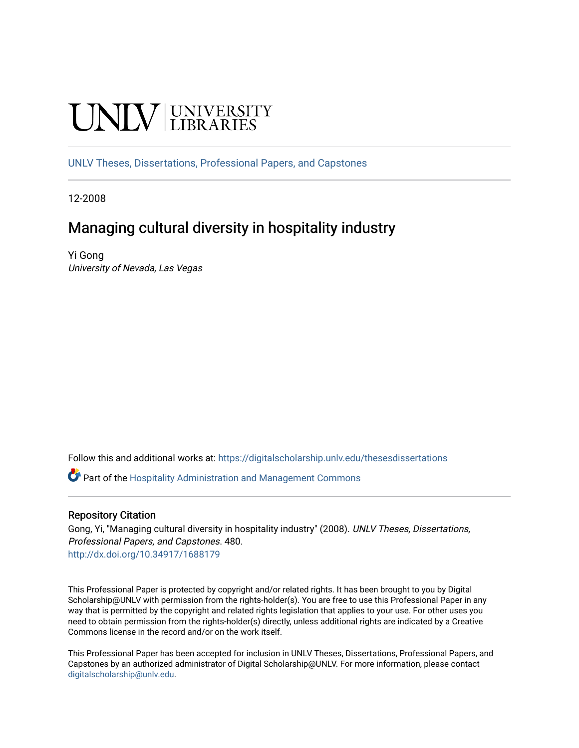# **UNIVERSITY**

[UNLV Theses, Dissertations, Professional Papers, and Capstones](https://digitalscholarship.unlv.edu/thesesdissertations)

12-2008

# Managing cultural diversity in hospitality industry

Yi Gong University of Nevada, Las Vegas

Follow this and additional works at: [https://digitalscholarship.unlv.edu/thesesdissertations](https://digitalscholarship.unlv.edu/thesesdissertations?utm_source=digitalscholarship.unlv.edu%2Fthesesdissertations%2F480&utm_medium=PDF&utm_campaign=PDFCoverPages)

Part of the [Hospitality Administration and Management Commons](http://network.bepress.com/hgg/discipline/632?utm_source=digitalscholarship.unlv.edu%2Fthesesdissertations%2F480&utm_medium=PDF&utm_campaign=PDFCoverPages) 

#### Repository Citation

Gong, Yi, "Managing cultural diversity in hospitality industry" (2008). UNLV Theses, Dissertations, Professional Papers, and Capstones. 480. <http://dx.doi.org/10.34917/1688179>

This Professional Paper is protected by copyright and/or related rights. It has been brought to you by Digital Scholarship@UNLV with permission from the rights-holder(s). You are free to use this Professional Paper in any way that is permitted by the copyright and related rights legislation that applies to your use. For other uses you need to obtain permission from the rights-holder(s) directly, unless additional rights are indicated by a Creative Commons license in the record and/or on the work itself.

This Professional Paper has been accepted for inclusion in UNLV Theses, Dissertations, Professional Papers, and Capstones by an authorized administrator of Digital Scholarship@UNLV. For more information, please contact [digitalscholarship@unlv.edu](mailto:digitalscholarship@unlv.edu).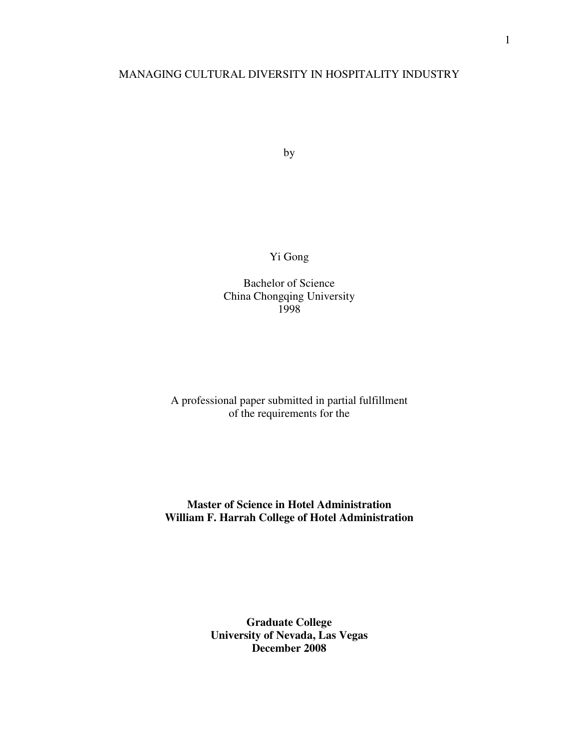## MANAGING CULTURAL DIVERSITY IN HOSPITALITY INDUSTRY

by

Yi Gong

Bachelor of Science China Chongqing University 1998

# A professional paper submitted in partial fulfillment of the requirements for the

# **Master of Science in Hotel Administration William F. Harrah College of Hotel Administration**

# **Graduate College University of Nevada, Las Vegas December 2008**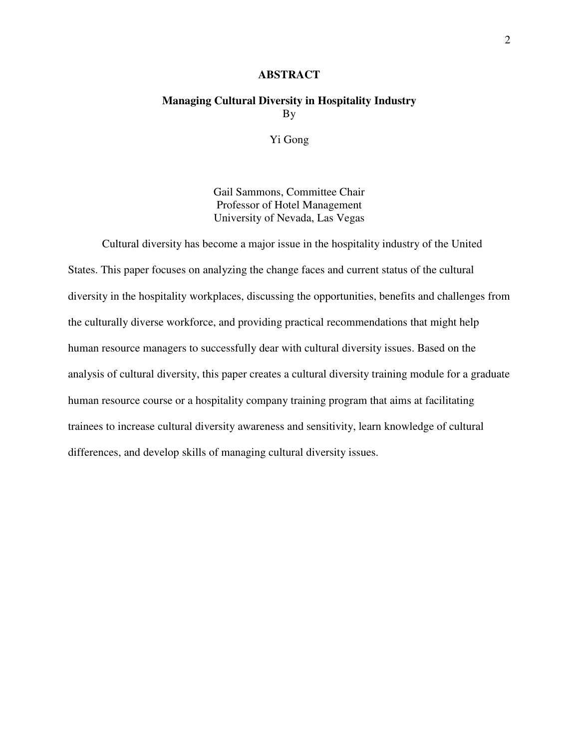#### **ABSTRACT**

# **Managing Cultural Diversity in Hospitality Industry**  By

Yi Gong

Gail Sammons, Committee Chair Professor of Hotel Management University of Nevada, Las Vegas

Cultural diversity has become a major issue in the hospitality industry of the United States. This paper focuses on analyzing the change faces and current status of the cultural diversity in the hospitality workplaces, discussing the opportunities, benefits and challenges from the culturally diverse workforce, and providing practical recommendations that might help human resource managers to successfully dear with cultural diversity issues. Based on the analysis of cultural diversity, this paper creates a cultural diversity training module for a graduate human resource course or a hospitality company training program that aims at facilitating trainees to increase cultural diversity awareness and sensitivity, learn knowledge of cultural differences, and develop skills of managing cultural diversity issues.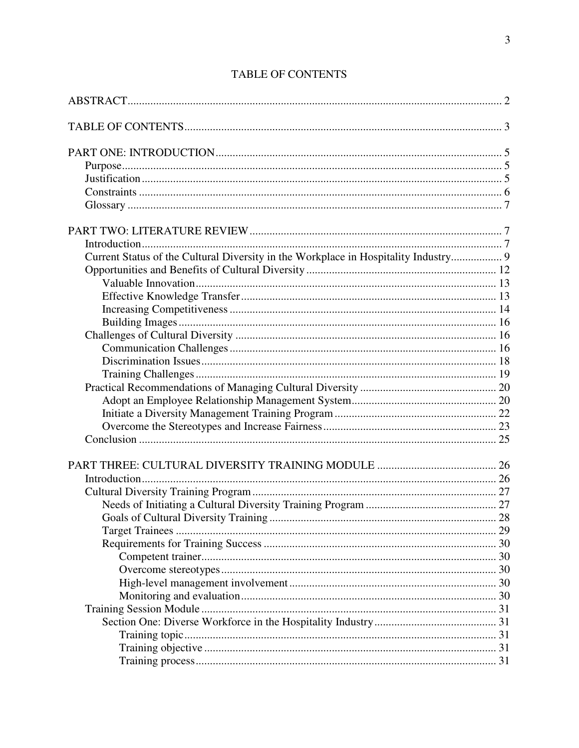| Current Status of the Cultural Diversity in the Workplace in Hospitality Industry 9 |  |
|-------------------------------------------------------------------------------------|--|
|                                                                                     |  |
|                                                                                     |  |
|                                                                                     |  |
|                                                                                     |  |
|                                                                                     |  |
|                                                                                     |  |
|                                                                                     |  |
|                                                                                     |  |
|                                                                                     |  |
|                                                                                     |  |
|                                                                                     |  |
|                                                                                     |  |
|                                                                                     |  |
|                                                                                     |  |
|                                                                                     |  |
|                                                                                     |  |
|                                                                                     |  |
|                                                                                     |  |
|                                                                                     |  |
|                                                                                     |  |
|                                                                                     |  |
|                                                                                     |  |
|                                                                                     |  |
|                                                                                     |  |
|                                                                                     |  |
|                                                                                     |  |
|                                                                                     |  |
|                                                                                     |  |
|                                                                                     |  |
|                                                                                     |  |

# **TABLE OF CONTENTS**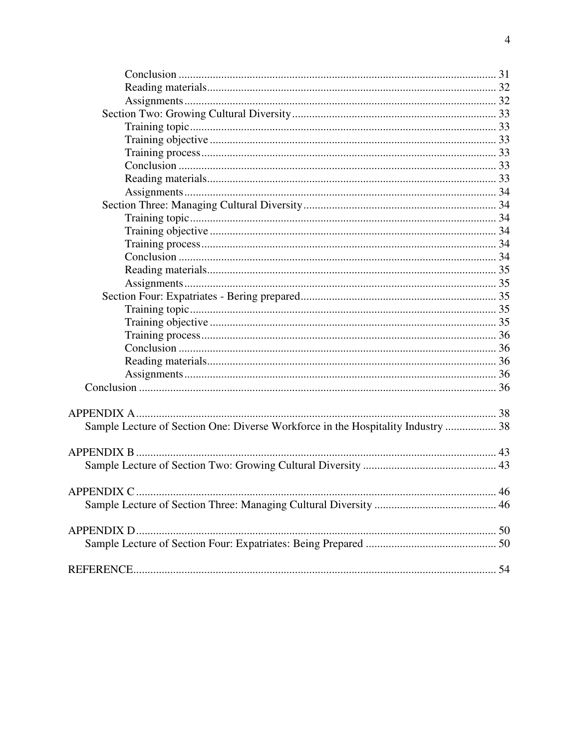| Sample Lecture of Section One: Diverse Workforce in the Hospitality Industry  38 |  |
|----------------------------------------------------------------------------------|--|
|                                                                                  |  |
|                                                                                  |  |
|                                                                                  |  |
|                                                                                  |  |
|                                                                                  |  |
|                                                                                  |  |
|                                                                                  |  |
|                                                                                  |  |
|                                                                                  |  |
|                                                                                  |  |
|                                                                                  |  |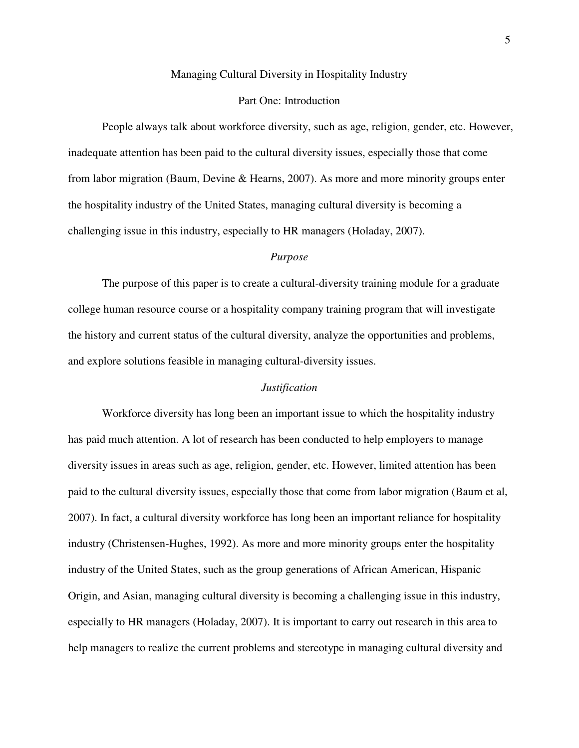#### Managing Cultural Diversity in Hospitality Industry

#### Part One: Introduction

People always talk about workforce diversity, such as age, religion, gender, etc. However, inadequate attention has been paid to the cultural diversity issues, especially those that come from labor migration (Baum, Devine & Hearns, 2007). As more and more minority groups enter the hospitality industry of the United States, managing cultural diversity is becoming a challenging issue in this industry, especially to HR managers (Holaday, 2007).

#### *Purpose*

The purpose of this paper is to create a cultural-diversity training module for a graduate college human resource course or a hospitality company training program that will investigate the history and current status of the cultural diversity, analyze the opportunities and problems, and explore solutions feasible in managing cultural-diversity issues.

#### *Justification*

Workforce diversity has long been an important issue to which the hospitality industry has paid much attention. A lot of research has been conducted to help employers to manage diversity issues in areas such as age, religion, gender, etc. However, limited attention has been paid to the cultural diversity issues, especially those that come from labor migration (Baum et al, 2007). In fact, a cultural diversity workforce has long been an important reliance for hospitality industry (Christensen-Hughes, 1992). As more and more minority groups enter the hospitality industry of the United States, such as the group generations of African American, Hispanic Origin, and Asian, managing cultural diversity is becoming a challenging issue in this industry, especially to HR managers (Holaday, 2007). It is important to carry out research in this area to help managers to realize the current problems and stereotype in managing cultural diversity and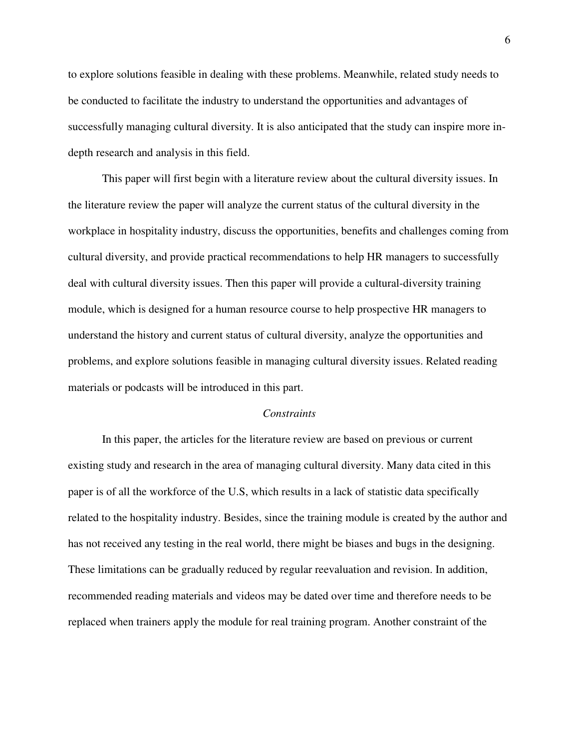to explore solutions feasible in dealing with these problems. Meanwhile, related study needs to be conducted to facilitate the industry to understand the opportunities and advantages of successfully managing cultural diversity. It is also anticipated that the study can inspire more indepth research and analysis in this field.

This paper will first begin with a literature review about the cultural diversity issues. In the literature review the paper will analyze the current status of the cultural diversity in the workplace in hospitality industry, discuss the opportunities, benefits and challenges coming from cultural diversity, and provide practical recommendations to help HR managers to successfully deal with cultural diversity issues. Then this paper will provide a cultural-diversity training module, which is designed for a human resource course to help prospective HR managers to understand the history and current status of cultural diversity, analyze the opportunities and problems, and explore solutions feasible in managing cultural diversity issues. Related reading materials or podcasts will be introduced in this part.

#### *Constraints*

In this paper, the articles for the literature review are based on previous or current existing study and research in the area of managing cultural diversity. Many data cited in this paper is of all the workforce of the U.S, which results in a lack of statistic data specifically related to the hospitality industry. Besides, since the training module is created by the author and has not received any testing in the real world, there might be biases and bugs in the designing. These limitations can be gradually reduced by regular reevaluation and revision. In addition, recommended reading materials and videos may be dated over time and therefore needs to be replaced when trainers apply the module for real training program. Another constraint of the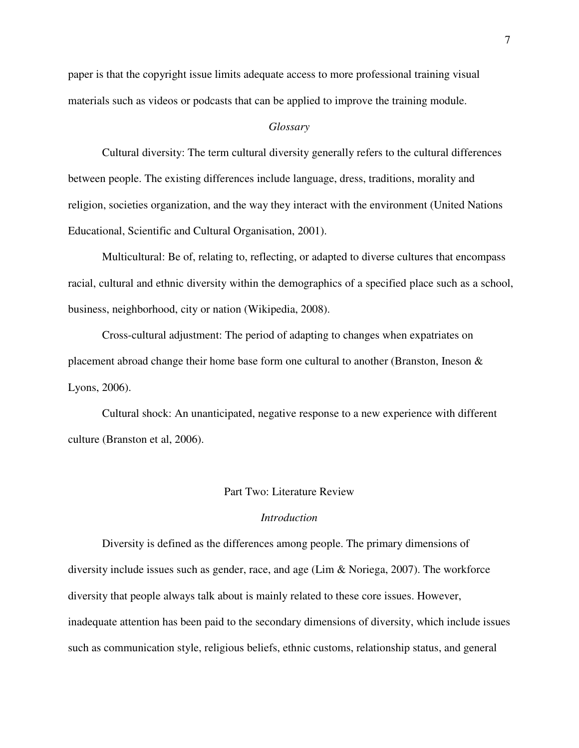paper is that the copyright issue limits adequate access to more professional training visual materials such as videos or podcasts that can be applied to improve the training module.

#### *Glossary*

Cultural diversity: The term cultural diversity generally refers to the cultural differences between people. The existing differences include language, dress, traditions, morality and religion, societies organization, and the way they interact with the environment (United Nations Educational, Scientific and Cultural Organisation, 2001).

Multicultural: Be of, relating to, reflecting, or adapted to diverse cultures that encompass racial, cultural and ethnic diversity within the demographics of a specified place such as a school, business, neighborhood, city or nation (Wikipedia, 2008).

Cross-cultural adjustment: The period of adapting to changes when expatriates on placement abroad change their home base form one cultural to another (Branston, Ineson & Lyons, 2006).

Cultural shock: An unanticipated, negative response to a new experience with different culture (Branston et al, 2006).

#### Part Two: Literature Review

#### *Introduction*

Diversity is defined as the differences among people. The primary dimensions of diversity include issues such as gender, race, and age (Lim & Noriega, 2007). The workforce diversity that people always talk about is mainly related to these core issues. However, inadequate attention has been paid to the secondary dimensions of diversity, which include issues such as communication style, religious beliefs, ethnic customs, relationship status, and general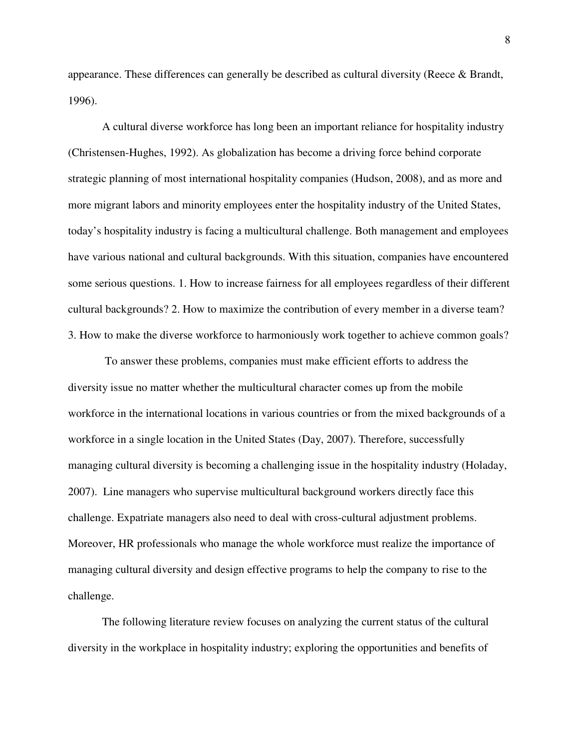appearance. These differences can generally be described as cultural diversity (Reece & Brandt, 1996).

A cultural diverse workforce has long been an important reliance for hospitality industry (Christensen-Hughes, 1992). As globalization has become a driving force behind corporate strategic planning of most international hospitality companies (Hudson, 2008), and as more and more migrant labors and minority employees enter the hospitality industry of the United States, today's hospitality industry is facing a multicultural challenge. Both management and employees have various national and cultural backgrounds. With this situation, companies have encountered some serious questions. 1. How to increase fairness for all employees regardless of their different cultural backgrounds? 2. How to maximize the contribution of every member in a diverse team? 3. How to make the diverse workforce to harmoniously work together to achieve common goals?

 To answer these problems, companies must make efficient efforts to address the diversity issue no matter whether the multicultural character comes up from the mobile workforce in the international locations in various countries or from the mixed backgrounds of a workforce in a single location in the United States (Day, 2007). Therefore, successfully managing cultural diversity is becoming a challenging issue in the hospitality industry (Holaday, 2007). Line managers who supervise multicultural background workers directly face this challenge. Expatriate managers also need to deal with cross-cultural adjustment problems. Moreover, HR professionals who manage the whole workforce must realize the importance of managing cultural diversity and design effective programs to help the company to rise to the challenge.

The following literature review focuses on analyzing the current status of the cultural diversity in the workplace in hospitality industry; exploring the opportunities and benefits of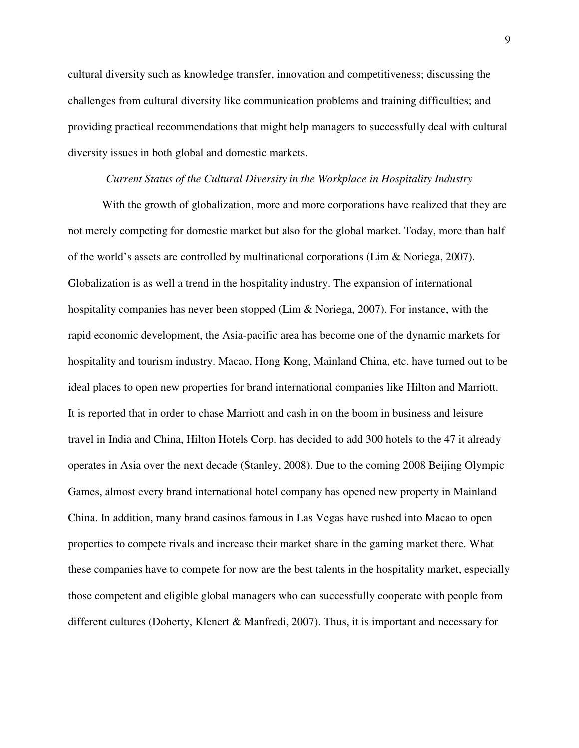cultural diversity such as knowledge transfer, innovation and competitiveness; discussing the challenges from cultural diversity like communication problems and training difficulties; and providing practical recommendations that might help managers to successfully deal with cultural diversity issues in both global and domestic markets.

#### *Current Status of the Cultural Diversity in the Workplace in Hospitality Industry*

With the growth of globalization, more and more corporations have realized that they are not merely competing for domestic market but also for the global market. Today, more than half of the world's assets are controlled by multinational corporations (Lim & Noriega, 2007). Globalization is as well a trend in the hospitality industry. The expansion of international hospitality companies has never been stopped (Lim & Noriega, 2007). For instance, with the rapid economic development, the Asia-pacific area has become one of the dynamic markets for hospitality and tourism industry. Macao, Hong Kong, Mainland China, etc. have turned out to be ideal places to open new properties for brand international companies like Hilton and Marriott. It is reported that in order to chase Marriott and cash in on the boom in business and leisure travel in India and China, Hilton Hotels Corp. has decided to add 300 hotels to the 47 it already operates in Asia over the next decade (Stanley, 2008). Due to the coming 2008 Beijing Olympic Games, almost every brand international hotel company has opened new property in Mainland China. In addition, many brand casinos famous in Las Vegas have rushed into Macao to open properties to compete rivals and increase their market share in the gaming market there. What these companies have to compete for now are the best talents in the hospitality market, especially those competent and eligible global managers who can successfully cooperate with people from different cultures (Doherty, Klenert & Manfredi, 2007). Thus, it is important and necessary for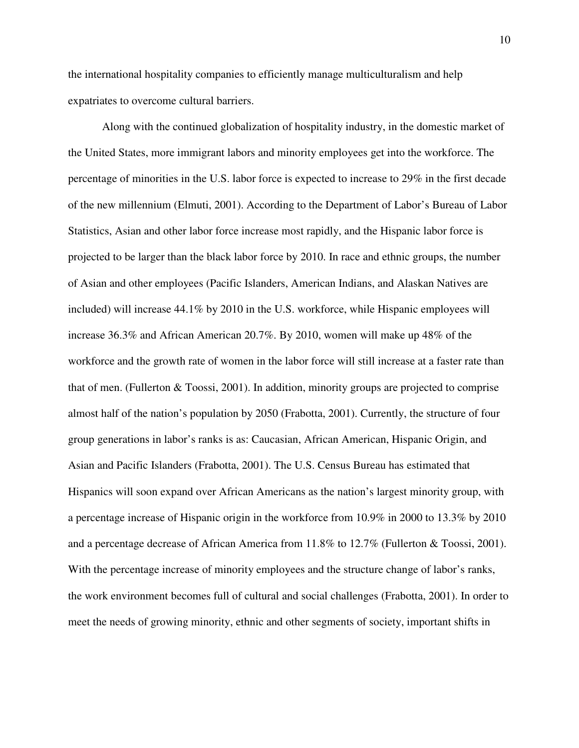the international hospitality companies to efficiently manage multiculturalism and help expatriates to overcome cultural barriers.

Along with the continued globalization of hospitality industry, in the domestic market of the United States, more immigrant labors and minority employees get into the workforce. The percentage of minorities in the U.S. labor force is expected to increase to 29% in the first decade of the new millennium (Elmuti, 2001). According to the Department of Labor's Bureau of Labor Statistics, Asian and other labor force increase most rapidly, and the Hispanic labor force is projected to be larger than the black labor force by 2010. In race and ethnic groups, the number of Asian and other employees (Pacific Islanders, American Indians, and Alaskan Natives are included) will increase 44.1% by 2010 in the U.S. workforce, while Hispanic employees will increase 36.3% and African American 20.7%. By 2010, women will make up 48% of the workforce and the growth rate of women in the labor force will still increase at a faster rate than that of men. (Fullerton & Toossi, 2001). In addition, minority groups are projected to comprise almost half of the nation's population by 2050 (Frabotta, 2001). Currently, the structure of four group generations in labor's ranks is as: Caucasian, African American, Hispanic Origin, and Asian and Pacific Islanders (Frabotta, 2001). The U.S. Census Bureau has estimated that Hispanics will soon expand over African Americans as the nation's largest minority group, with a percentage increase of Hispanic origin in the workforce from 10.9% in 2000 to 13.3% by 2010 and a percentage decrease of African America from 11.8% to 12.7% (Fullerton & Toossi, 2001). With the percentage increase of minority employees and the structure change of labor's ranks, the work environment becomes full of cultural and social challenges (Frabotta, 2001). In order to meet the needs of growing minority, ethnic and other segments of society, important shifts in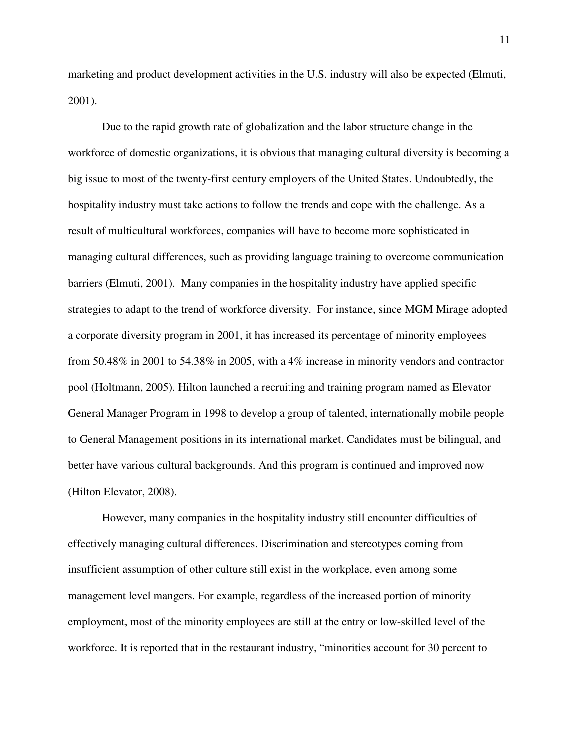marketing and product development activities in the U.S. industry will also be expected (Elmuti, 2001).

Due to the rapid growth rate of globalization and the labor structure change in the workforce of domestic organizations, it is obvious that managing cultural diversity is becoming a big issue to most of the twenty-first century employers of the United States. Undoubtedly, the hospitality industry must take actions to follow the trends and cope with the challenge. As a result of multicultural workforces, companies will have to become more sophisticated in managing cultural differences, such as providing language training to overcome communication barriers (Elmuti, 2001). Many companies in the hospitality industry have applied specific strategies to adapt to the trend of workforce diversity. For instance, since MGM Mirage adopted a corporate diversity program in 2001, it has increased its percentage of minority employees from 50.48% in 2001 to 54.38% in 2005, with a 4% increase in minority vendors and contractor pool (Holtmann, 2005). Hilton launched a recruiting and training program named as Elevator General Manager Program in 1998 to develop a group of talented, internationally mobile people to General Management positions in its international market. Candidates must be bilingual, and better have various cultural backgrounds. And this program is continued and improved now (Hilton Elevator, 2008).

However, many companies in the hospitality industry still encounter difficulties of effectively managing cultural differences. Discrimination and stereotypes coming from insufficient assumption of other culture still exist in the workplace, even among some management level mangers. For example, regardless of the increased portion of minority employment, most of the minority employees are still at the entry or low-skilled level of the workforce. It is reported that in the restaurant industry, "minorities account for 30 percent to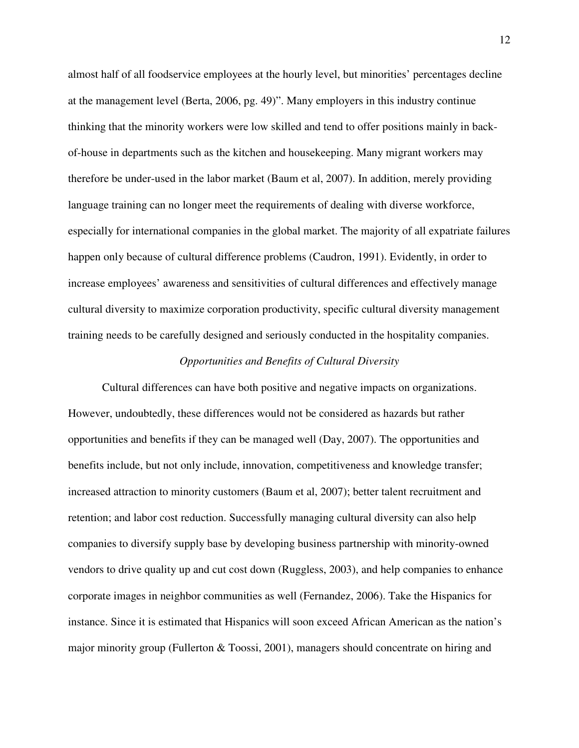almost half of all foodservice employees at the hourly level, but minorities' percentages decline at the management level (Berta, 2006, pg. 49)". Many employers in this industry continue thinking that the minority workers were low skilled and tend to offer positions mainly in backof-house in departments such as the kitchen and housekeeping. Many migrant workers may therefore be under-used in the labor market (Baum et al, 2007). In addition, merely providing language training can no longer meet the requirements of dealing with diverse workforce, especially for international companies in the global market. The majority of all expatriate failures happen only because of cultural difference problems (Caudron, 1991). Evidently, in order to increase employees' awareness and sensitivities of cultural differences and effectively manage cultural diversity to maximize corporation productivity, specific cultural diversity management training needs to be carefully designed and seriously conducted in the hospitality companies.

#### *Opportunities and Benefits of Cultural Diversity*

Cultural differences can have both positive and negative impacts on organizations. However, undoubtedly, these differences would not be considered as hazards but rather opportunities and benefits if they can be managed well (Day, 2007). The opportunities and benefits include, but not only include, innovation, competitiveness and knowledge transfer; increased attraction to minority customers (Baum et al, 2007); better talent recruitment and retention; and labor cost reduction. Successfully managing cultural diversity can also help companies to diversify supply base by developing business partnership with minority-owned vendors to drive quality up and cut cost down (Ruggless, 2003), and help companies to enhance corporate images in neighbor communities as well (Fernandez, 2006). Take the Hispanics for instance. Since it is estimated that Hispanics will soon exceed African American as the nation's major minority group (Fullerton & Toossi, 2001), managers should concentrate on hiring and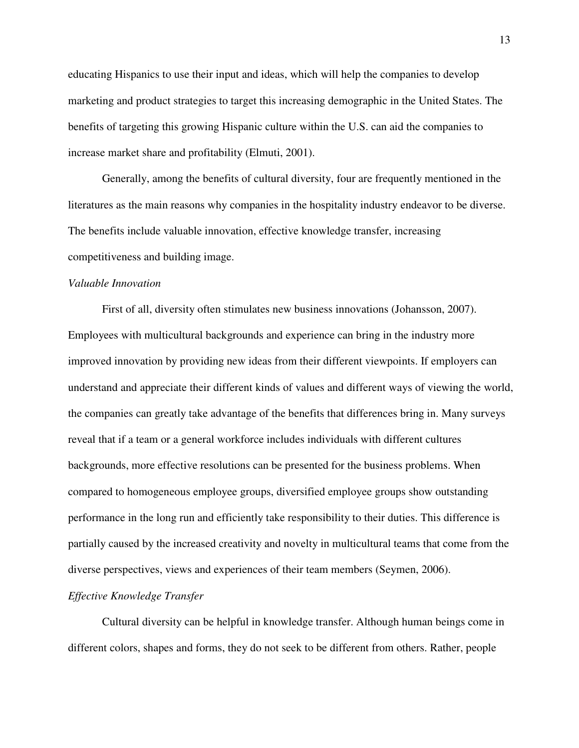educating Hispanics to use their input and ideas, which will help the companies to develop marketing and product strategies to target this increasing demographic in the United States. The benefits of targeting this growing Hispanic culture within the U.S. can aid the companies to increase market share and profitability (Elmuti, 2001).

Generally, among the benefits of cultural diversity, four are frequently mentioned in the literatures as the main reasons why companies in the hospitality industry endeavor to be diverse. The benefits include valuable innovation, effective knowledge transfer, increasing competitiveness and building image.

#### *Valuable Innovation*

First of all, diversity often stimulates new business innovations (Johansson, 2007). Employees with multicultural backgrounds and experience can bring in the industry more improved innovation by providing new ideas from their different viewpoints. If employers can understand and appreciate their different kinds of values and different ways of viewing the world, the companies can greatly take advantage of the benefits that differences bring in. Many surveys reveal that if a team or a general workforce includes individuals with different cultures backgrounds, more effective resolutions can be presented for the business problems. When compared to homogeneous employee groups, diversified employee groups show outstanding performance in the long run and efficiently take responsibility to their duties. This difference is partially caused by the increased creativity and novelty in multicultural teams that come from the diverse perspectives, views and experiences of their team members (Seymen, 2006).

#### *Effective Knowledge Transfer*

Cultural diversity can be helpful in knowledge transfer. Although human beings come in different colors, shapes and forms, they do not seek to be different from others. Rather, people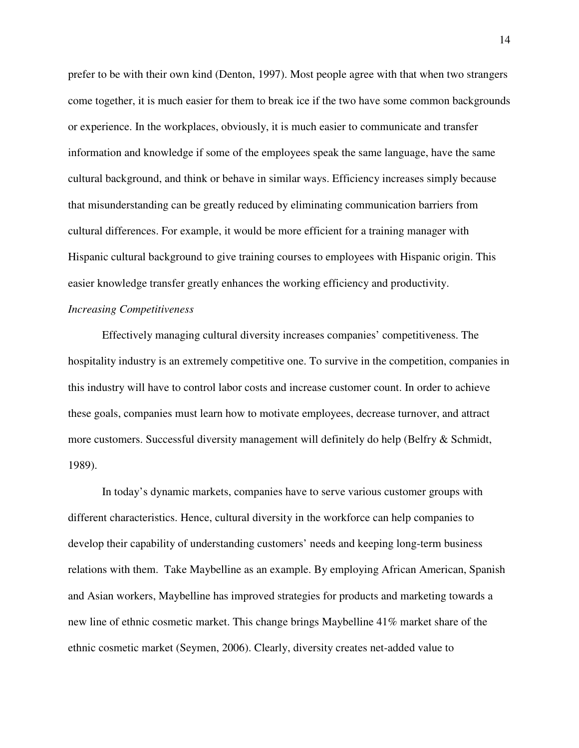prefer to be with their own kind (Denton, 1997). Most people agree with that when two strangers come together, it is much easier for them to break ice if the two have some common backgrounds or experience. In the workplaces, obviously, it is much easier to communicate and transfer information and knowledge if some of the employees speak the same language, have the same cultural background, and think or behave in similar ways. Efficiency increases simply because that misunderstanding can be greatly reduced by eliminating communication barriers from cultural differences. For example, it would be more efficient for a training manager with Hispanic cultural background to give training courses to employees with Hispanic origin. This easier knowledge transfer greatly enhances the working efficiency and productivity.

## *Increasing Competitiveness*

Effectively managing cultural diversity increases companies' competitiveness. The hospitality industry is an extremely competitive one. To survive in the competition, companies in this industry will have to control labor costs and increase customer count. In order to achieve these goals, companies must learn how to motivate employees, decrease turnover, and attract more customers. Successful diversity management will definitely do help (Belfry & Schmidt, 1989).

In today's dynamic markets, companies have to serve various customer groups with different characteristics. Hence, cultural diversity in the workforce can help companies to develop their capability of understanding customers' needs and keeping long-term business relations with them. Take Maybelline as an example. By employing African American, Spanish and Asian workers, Maybelline has improved strategies for products and marketing towards a new line of ethnic cosmetic market. This change brings Maybelline 41% market share of the ethnic cosmetic market (Seymen, 2006). Clearly, diversity creates net-added value to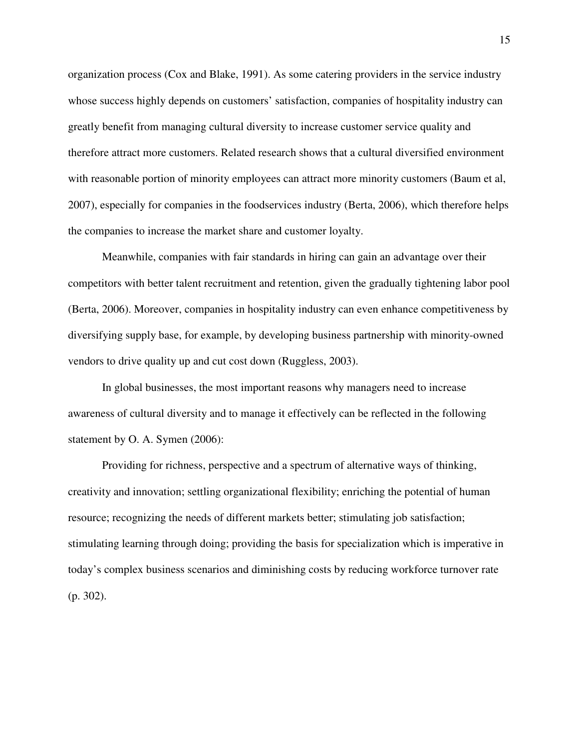organization process (Cox and Blake, 1991). As some catering providers in the service industry whose success highly depends on customers' satisfaction, companies of hospitality industry can greatly benefit from managing cultural diversity to increase customer service quality and therefore attract more customers. Related research shows that a cultural diversified environment with reasonable portion of minority employees can attract more minority customers (Baum et al, 2007), especially for companies in the foodservices industry (Berta, 2006), which therefore helps the companies to increase the market share and customer loyalty.

Meanwhile, companies with fair standards in hiring can gain an advantage over their competitors with better talent recruitment and retention, given the gradually tightening labor pool (Berta, 2006). Moreover, companies in hospitality industry can even enhance competitiveness by diversifying supply base, for example, by developing business partnership with minority-owned vendors to drive quality up and cut cost down (Ruggless, 2003).

In global businesses, the most important reasons why managers need to increase awareness of cultural diversity and to manage it effectively can be reflected in the following statement by O. A. Symen (2006):

Providing for richness, perspective and a spectrum of alternative ways of thinking, creativity and innovation; settling organizational flexibility; enriching the potential of human resource; recognizing the needs of different markets better; stimulating job satisfaction; stimulating learning through doing; providing the basis for specialization which is imperative in today's complex business scenarios and diminishing costs by reducing workforce turnover rate (p. 302).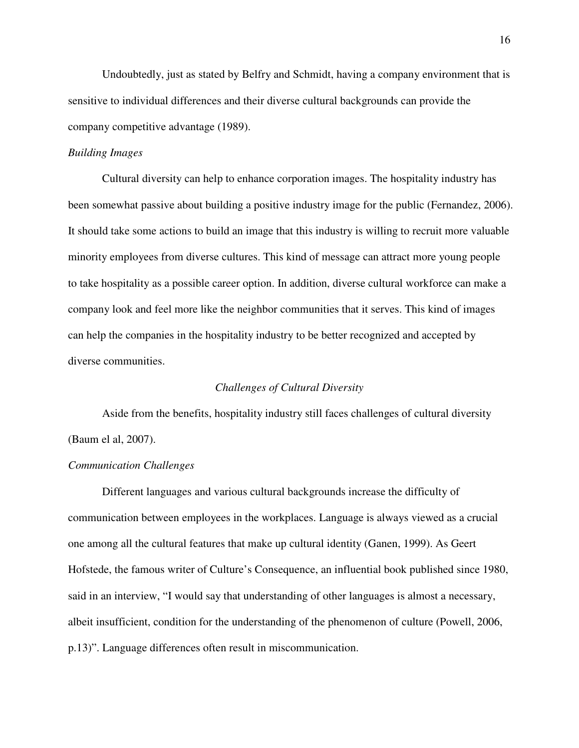Undoubtedly, just as stated by Belfry and Schmidt, having a company environment that is sensitive to individual differences and their diverse cultural backgrounds can provide the company competitive advantage (1989).

#### *Building Images*

Cultural diversity can help to enhance corporation images. The hospitality industry has been somewhat passive about building a positive industry image for the public (Fernandez, 2006). It should take some actions to build an image that this industry is willing to recruit more valuable minority employees from diverse cultures. This kind of message can attract more young people to take hospitality as a possible career option. In addition, diverse cultural workforce can make a company look and feel more like the neighbor communities that it serves. This kind of images can help the companies in the hospitality industry to be better recognized and accepted by diverse communities.

#### *Challenges of Cultural Diversity*

Aside from the benefits, hospitality industry still faces challenges of cultural diversity (Baum el al, 2007).

#### *Communication Challenges*

Different languages and various cultural backgrounds increase the difficulty of communication between employees in the workplaces. Language is always viewed as a crucial one among all the cultural features that make up cultural identity (Ganen, 1999). As Geert Hofstede, the famous writer of Culture's Consequence, an influential book published since 1980, said in an interview, "I would say that understanding of other languages is almost a necessary, albeit insufficient, condition for the understanding of the phenomenon of culture (Powell, 2006, p.13)". Language differences often result in miscommunication.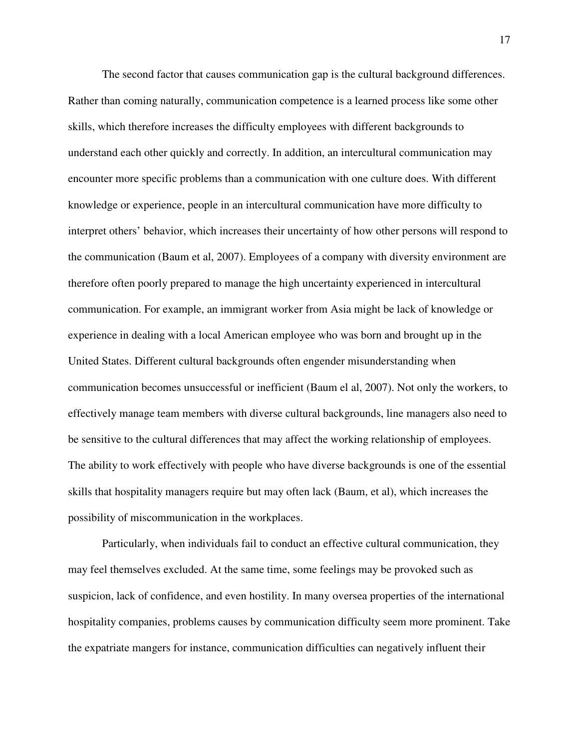The second factor that causes communication gap is the cultural background differences. Rather than coming naturally, communication competence is a learned process like some other skills, which therefore increases the difficulty employees with different backgrounds to understand each other quickly and correctly. In addition, an intercultural communication may encounter more specific problems than a communication with one culture does. With different knowledge or experience, people in an intercultural communication have more difficulty to interpret others' behavior, which increases their uncertainty of how other persons will respond to the communication (Baum et al, 2007). Employees of a company with diversity environment are therefore often poorly prepared to manage the high uncertainty experienced in intercultural communication. For example, an immigrant worker from Asia might be lack of knowledge or experience in dealing with a local American employee who was born and brought up in the United States. Different cultural backgrounds often engender misunderstanding when communication becomes unsuccessful or inefficient (Baum el al, 2007). Not only the workers, to effectively manage team members with diverse cultural backgrounds, line managers also need to be sensitive to the cultural differences that may affect the working relationship of employees. The ability to work effectively with people who have diverse backgrounds is one of the essential skills that hospitality managers require but may often lack (Baum, et al), which increases the possibility of miscommunication in the workplaces.

Particularly, when individuals fail to conduct an effective cultural communication, they may feel themselves excluded. At the same time, some feelings may be provoked such as suspicion, lack of confidence, and even hostility. In many oversea properties of the international hospitality companies, problems causes by communication difficulty seem more prominent. Take the expatriate mangers for instance, communication difficulties can negatively influent their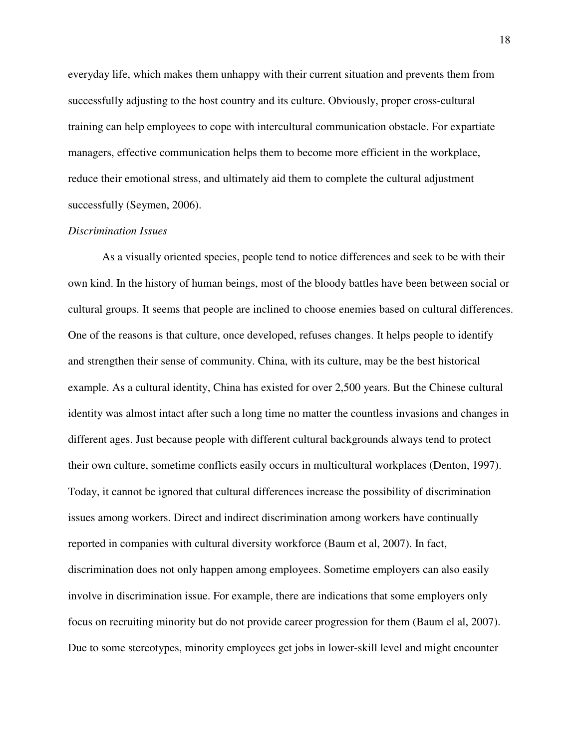everyday life, which makes them unhappy with their current situation and prevents them from successfully adjusting to the host country and its culture. Obviously, proper cross-cultural training can help employees to cope with intercultural communication obstacle. For expartiate managers, effective communication helps them to become more efficient in the workplace, reduce their emotional stress, and ultimately aid them to complete the cultural adjustment successfully (Seymen, 2006).

#### *Discrimination Issues*

As a visually oriented species, people tend to notice differences and seek to be with their own kind. In the history of human beings, most of the bloody battles have been between social or cultural groups. It seems that people are inclined to choose enemies based on cultural differences. One of the reasons is that culture, once developed, refuses changes. It helps people to identify and strengthen their sense of community. China, with its culture, may be the best historical example. As a cultural identity, China has existed for over 2,500 years. But the Chinese cultural identity was almost intact after such a long time no matter the countless invasions and changes in different ages. Just because people with different cultural backgrounds always tend to protect their own culture, sometime conflicts easily occurs in multicultural workplaces (Denton, 1997). Today, it cannot be ignored that cultural differences increase the possibility of discrimination issues among workers. Direct and indirect discrimination among workers have continually reported in companies with cultural diversity workforce (Baum et al, 2007). In fact, discrimination does not only happen among employees. Sometime employers can also easily involve in discrimination issue. For example, there are indications that some employers only focus on recruiting minority but do not provide career progression for them (Baum el al, 2007). Due to some stereotypes, minority employees get jobs in lower-skill level and might encounter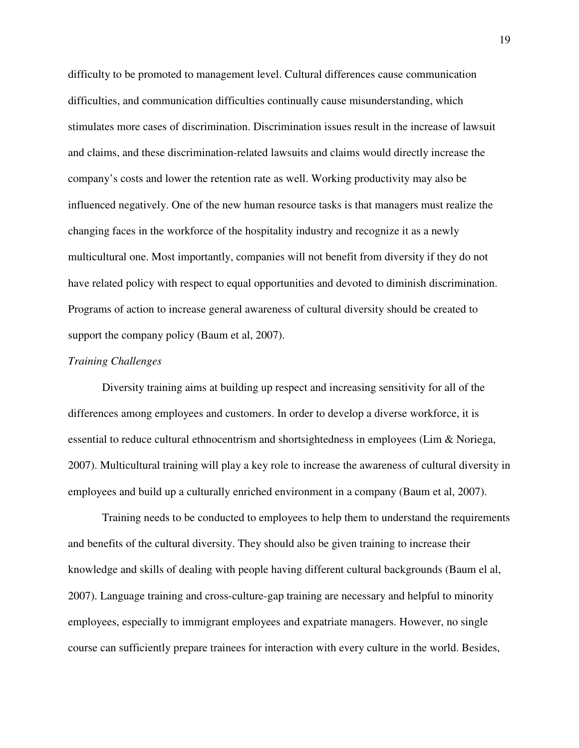difficulty to be promoted to management level. Cultural differences cause communication difficulties, and communication difficulties continually cause misunderstanding, which stimulates more cases of discrimination. Discrimination issues result in the increase of lawsuit and claims, and these discrimination-related lawsuits and claims would directly increase the company's costs and lower the retention rate as well. Working productivity may also be influenced negatively. One of the new human resource tasks is that managers must realize the changing faces in the workforce of the hospitality industry and recognize it as a newly multicultural one. Most importantly, companies will not benefit from diversity if they do not have related policy with respect to equal opportunities and devoted to diminish discrimination. Programs of action to increase general awareness of cultural diversity should be created to support the company policy (Baum et al, 2007).

#### *Training Challenges*

Diversity training aims at building up respect and increasing sensitivity for all of the differences among employees and customers. In order to develop a diverse workforce, it is essential to reduce cultural ethnocentrism and shortsightedness in employees (Lim & Noriega, 2007). Multicultural training will play a key role to increase the awareness of cultural diversity in employees and build up a culturally enriched environment in a company (Baum et al, 2007).

Training needs to be conducted to employees to help them to understand the requirements and benefits of the cultural diversity. They should also be given training to increase their knowledge and skills of dealing with people having different cultural backgrounds (Baum el al, 2007). Language training and cross-culture-gap training are necessary and helpful to minority employees, especially to immigrant employees and expatriate managers. However, no single course can sufficiently prepare trainees for interaction with every culture in the world. Besides,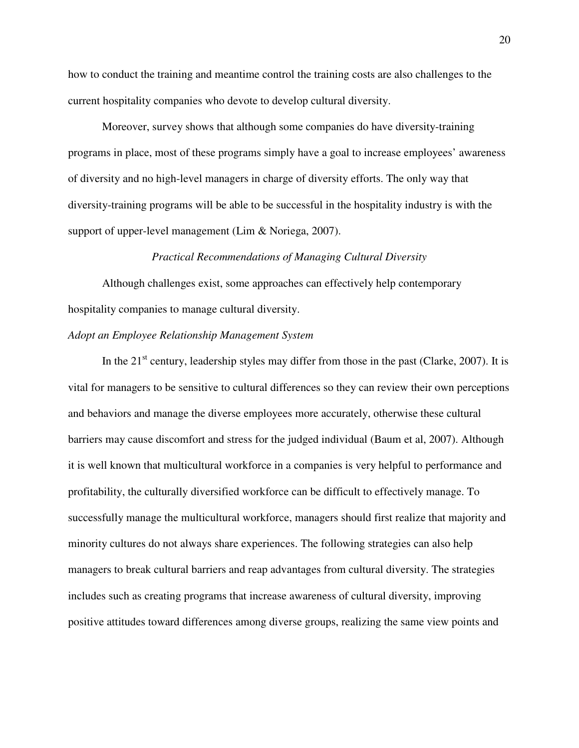how to conduct the training and meantime control the training costs are also challenges to the current hospitality companies who devote to develop cultural diversity.

Moreover, survey shows that although some companies do have diversity-training programs in place, most of these programs simply have a goal to increase employees' awareness of diversity and no high-level managers in charge of diversity efforts. The only way that diversity-training programs will be able to be successful in the hospitality industry is with the support of upper-level management (Lim & Noriega, 2007).

#### *Practical Recommendations of Managing Cultural Diversity*

Although challenges exist, some approaches can effectively help contemporary hospitality companies to manage cultural diversity.

#### *Adopt an Employee Relationship Management System*

In the  $21<sup>st</sup>$  century, leadership styles may differ from those in the past (Clarke, 2007). It is vital for managers to be sensitive to cultural differences so they can review their own perceptions and behaviors and manage the diverse employees more accurately, otherwise these cultural barriers may cause discomfort and stress for the judged individual (Baum et al, 2007). Although it is well known that multicultural workforce in a companies is very helpful to performance and profitability, the culturally diversified workforce can be difficult to effectively manage. To successfully manage the multicultural workforce, managers should first realize that majority and minority cultures do not always share experiences. The following strategies can also help managers to break cultural barriers and reap advantages from cultural diversity. The strategies includes such as creating programs that increase awareness of cultural diversity, improving positive attitudes toward differences among diverse groups, realizing the same view points and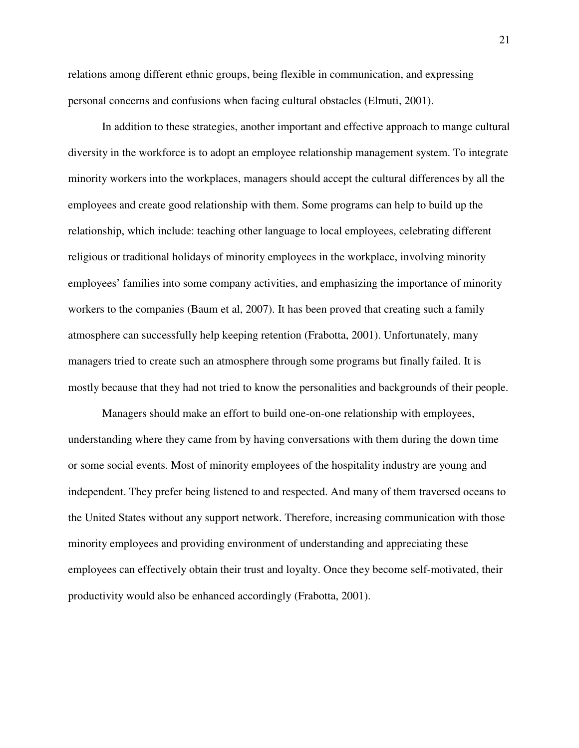relations among different ethnic groups, being flexible in communication, and expressing personal concerns and confusions when facing cultural obstacles (Elmuti, 2001).

In addition to these strategies, another important and effective approach to mange cultural diversity in the workforce is to adopt an employee relationship management system. To integrate minority workers into the workplaces, managers should accept the cultural differences by all the employees and create good relationship with them. Some programs can help to build up the relationship, which include: teaching other language to local employees, celebrating different religious or traditional holidays of minority employees in the workplace, involving minority employees' families into some company activities, and emphasizing the importance of minority workers to the companies (Baum et al, 2007). It has been proved that creating such a family atmosphere can successfully help keeping retention (Frabotta, 2001). Unfortunately, many managers tried to create such an atmosphere through some programs but finally failed. It is mostly because that they had not tried to know the personalities and backgrounds of their people.

Managers should make an effort to build one-on-one relationship with employees, understanding where they came from by having conversations with them during the down time or some social events. Most of minority employees of the hospitality industry are young and independent. They prefer being listened to and respected. And many of them traversed oceans to the United States without any support network. Therefore, increasing communication with those minority employees and providing environment of understanding and appreciating these employees can effectively obtain their trust and loyalty. Once they become self-motivated, their productivity would also be enhanced accordingly (Frabotta, 2001).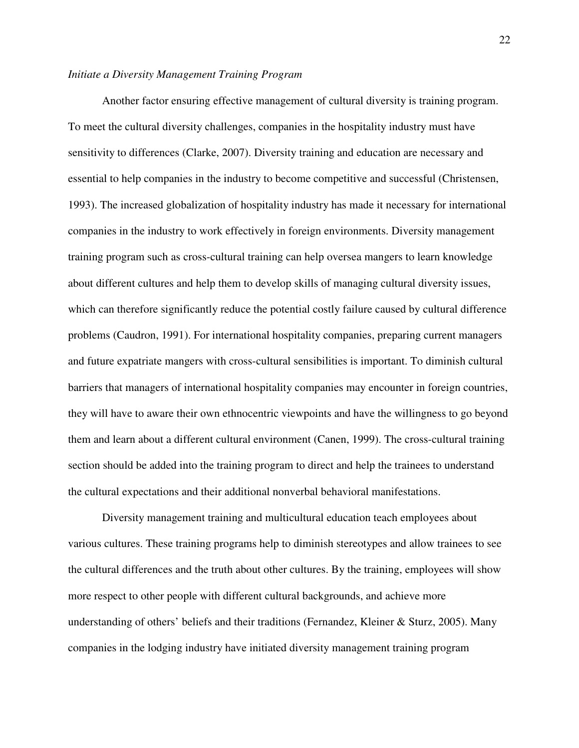#### *Initiate a Diversity Management Training Program*

Another factor ensuring effective management of cultural diversity is training program. To meet the cultural diversity challenges, companies in the hospitality industry must have sensitivity to differences (Clarke, 2007). Diversity training and education are necessary and essential to help companies in the industry to become competitive and successful (Christensen, 1993). The increased globalization of hospitality industry has made it necessary for international companies in the industry to work effectively in foreign environments. Diversity management training program such as cross-cultural training can help oversea mangers to learn knowledge about different cultures and help them to develop skills of managing cultural diversity issues, which can therefore significantly reduce the potential costly failure caused by cultural difference problems (Caudron, 1991). For international hospitality companies, preparing current managers and future expatriate mangers with cross-cultural sensibilities is important. To diminish cultural barriers that managers of international hospitality companies may encounter in foreign countries, they will have to aware their own ethnocentric viewpoints and have the willingness to go beyond them and learn about a different cultural environment (Canen, 1999). The cross-cultural training section should be added into the training program to direct and help the trainees to understand the cultural expectations and their additional nonverbal behavioral manifestations.

Diversity management training and multicultural education teach employees about various cultures. These training programs help to diminish stereotypes and allow trainees to see the cultural differences and the truth about other cultures. By the training, employees will show more respect to other people with different cultural backgrounds, and achieve more understanding of others' beliefs and their traditions (Fernandez, Kleiner & Sturz, 2005). Many companies in the lodging industry have initiated diversity management training program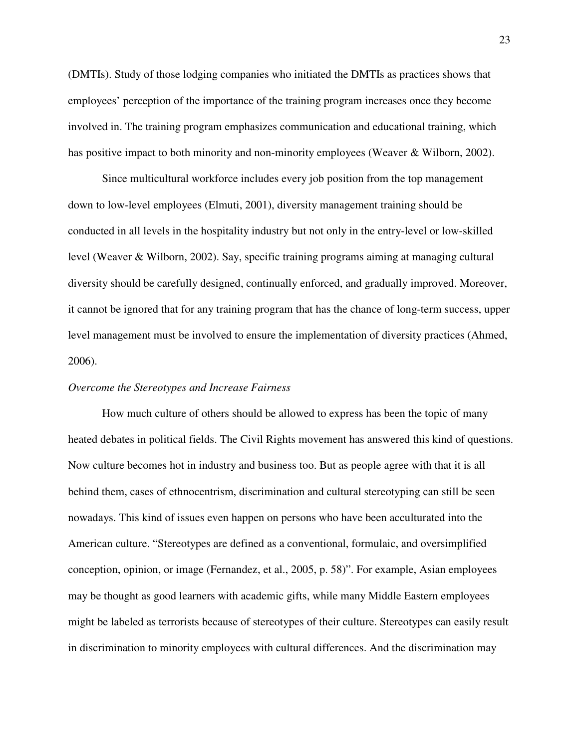(DMTIs). Study of those lodging companies who initiated the DMTIs as practices shows that employees' perception of the importance of the training program increases once they become involved in. The training program emphasizes communication and educational training, which has positive impact to both minority and non-minority employees (Weaver & Wilborn, 2002).

Since multicultural workforce includes every job position from the top management down to low-level employees (Elmuti, 2001), diversity management training should be conducted in all levels in the hospitality industry but not only in the entry-level or low-skilled level (Weaver & Wilborn, 2002). Say, specific training programs aiming at managing cultural diversity should be carefully designed, continually enforced, and gradually improved. Moreover, it cannot be ignored that for any training program that has the chance of long-term success, upper level management must be involved to ensure the implementation of diversity practices (Ahmed, 2006).

#### *Overcome the Stereotypes and Increase Fairness*

How much culture of others should be allowed to express has been the topic of many heated debates in political fields. The Civil Rights movement has answered this kind of questions. Now culture becomes hot in industry and business too. But as people agree with that it is all behind them, cases of ethnocentrism, discrimination and cultural stereotyping can still be seen nowadays. This kind of issues even happen on persons who have been acculturated into the American culture. "Stereotypes are defined as a conventional, formulaic, and oversimplified conception, opinion, or image (Fernandez, et al., 2005, p. 58)". For example, Asian employees may be thought as good learners with academic gifts, while many Middle Eastern employees might be labeled as terrorists because of stereotypes of their culture. Stereotypes can easily result in discrimination to minority employees with cultural differences. And the discrimination may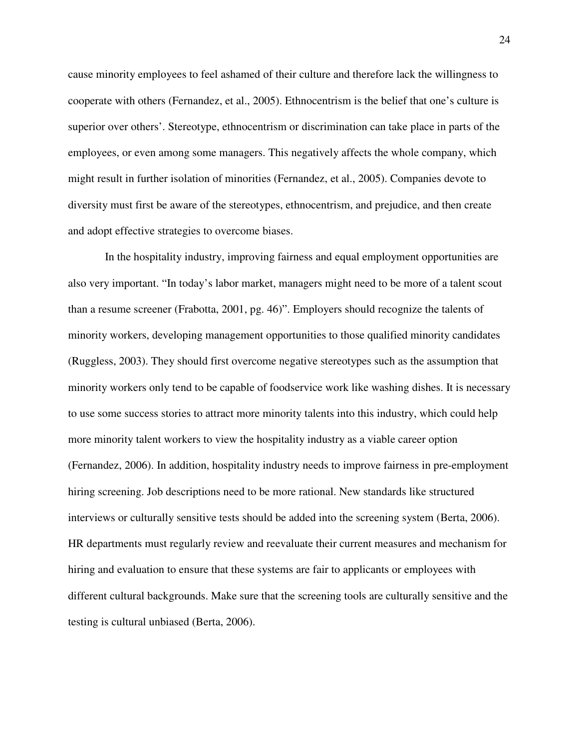cause minority employees to feel ashamed of their culture and therefore lack the willingness to cooperate with others (Fernandez, et al., 2005). Ethnocentrism is the belief that one's culture is superior over others'. Stereotype, ethnocentrism or discrimination can take place in parts of the employees, or even among some managers. This negatively affects the whole company, which might result in further isolation of minorities (Fernandez, et al., 2005). Companies devote to diversity must first be aware of the stereotypes, ethnocentrism, and prejudice, and then create and adopt effective strategies to overcome biases.

 In the hospitality industry, improving fairness and equal employment opportunities are also very important. "In today's labor market, managers might need to be more of a talent scout than a resume screener (Frabotta, 2001, pg. 46)". Employers should recognize the talents of minority workers, developing management opportunities to those qualified minority candidates (Ruggless, 2003). They should first overcome negative stereotypes such as the assumption that minority workers only tend to be capable of foodservice work like washing dishes. It is necessary to use some success stories to attract more minority talents into this industry, which could help more minority talent workers to view the hospitality industry as a viable career option (Fernandez, 2006). In addition, hospitality industry needs to improve fairness in pre-employment hiring screening. Job descriptions need to be more rational. New standards like structured interviews or culturally sensitive tests should be added into the screening system (Berta, 2006). HR departments must regularly review and reevaluate their current measures and mechanism for hiring and evaluation to ensure that these systems are fair to applicants or employees with different cultural backgrounds. Make sure that the screening tools are culturally sensitive and the testing is cultural unbiased (Berta, 2006).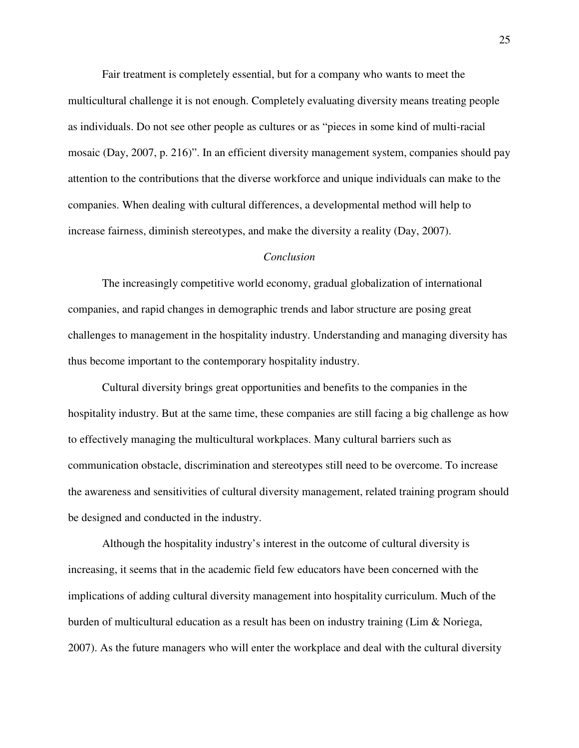Fair treatment is completely essential, but for a company who wants to meet the multicultural challenge it is not enough. Completely evaluating diversity means treating people as individuals. Do not see other people as cultures or as "pieces in some kind of multi-racial mosaic (Day, 2007, p. 216)". In an efficient diversity management system, companies should pay attention to the contributions that the diverse workforce and unique individuals can make to the companies. When dealing with cultural differences, a developmental method will help to increase fairness, diminish stereotypes, and make the diversity a reality (Day, 2007).

#### *Conclusion*

The increasingly competitive world economy, gradual globalization of international companies, and rapid changes in demographic trends and labor structure are posing great challenges to management in the hospitality industry. Understanding and managing diversity has thus become important to the contemporary hospitality industry.

Cultural diversity brings great opportunities and benefits to the companies in the hospitality industry. But at the same time, these companies are still facing a big challenge as how to effectively managing the multicultural workplaces. Many cultural barriers such as communication obstacle, discrimination and stereotypes still need to be overcome. To increase the awareness and sensitivities of cultural diversity management, related training program should be designed and conducted in the industry.

Although the hospitality industry's interest in the outcome of cultural diversity is increasing, it seems that in the academic field few educators have been concerned with the implications of adding cultural diversity management into hospitality curriculum. Much of the burden of multicultural education as a result has been on industry training (Lim & Noriega, 2007). As the future managers who will enter the workplace and deal with the cultural diversity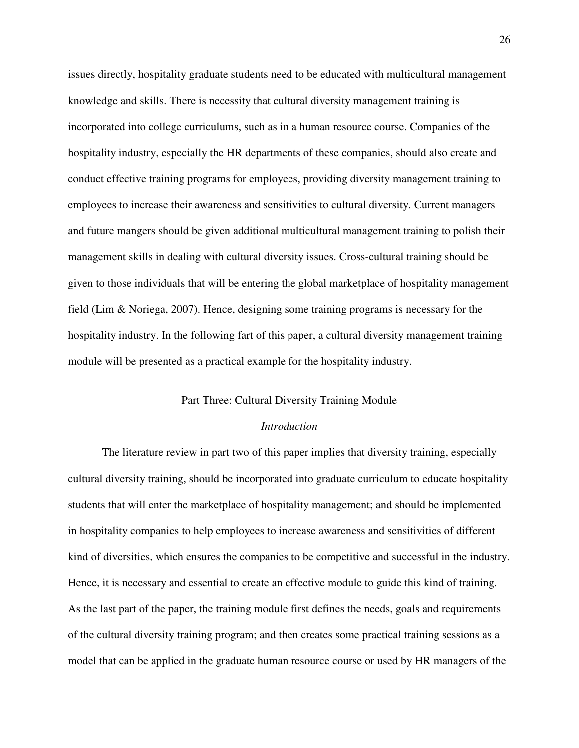issues directly, hospitality graduate students need to be educated with multicultural management knowledge and skills. There is necessity that cultural diversity management training is incorporated into college curriculums, such as in a human resource course. Companies of the hospitality industry, especially the HR departments of these companies, should also create and conduct effective training programs for employees, providing diversity management training to employees to increase their awareness and sensitivities to cultural diversity. Current managers and future mangers should be given additional multicultural management training to polish their management skills in dealing with cultural diversity issues. Cross-cultural training should be given to those individuals that will be entering the global marketplace of hospitality management field (Lim & Noriega, 2007). Hence, designing some training programs is necessary for the hospitality industry. In the following fart of this paper, a cultural diversity management training module will be presented as a practical example for the hospitality industry.

#### Part Three: Cultural Diversity Training Module

#### *Introduction*

The literature review in part two of this paper implies that diversity training, especially cultural diversity training, should be incorporated into graduate curriculum to educate hospitality students that will enter the marketplace of hospitality management; and should be implemented in hospitality companies to help employees to increase awareness and sensitivities of different kind of diversities, which ensures the companies to be competitive and successful in the industry. Hence, it is necessary and essential to create an effective module to guide this kind of training. As the last part of the paper, the training module first defines the needs, goals and requirements of the cultural diversity training program; and then creates some practical training sessions as a model that can be applied in the graduate human resource course or used by HR managers of the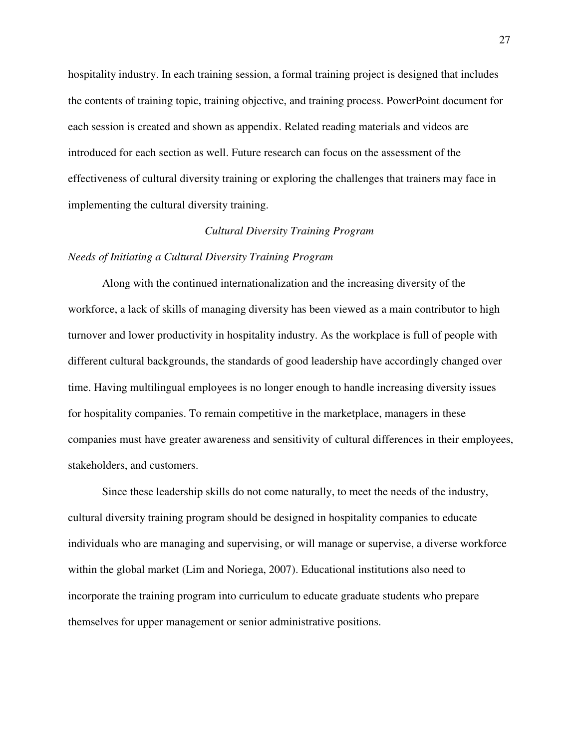hospitality industry. In each training session, a formal training project is designed that includes the contents of training topic, training objective, and training process. PowerPoint document for each session is created and shown as appendix. Related reading materials and videos are introduced for each section as well. Future research can focus on the assessment of the effectiveness of cultural diversity training or exploring the challenges that trainers may face in implementing the cultural diversity training.

#### *Cultural Diversity Training Program*

#### *Needs of Initiating a Cultural Diversity Training Program*

Along with the continued internationalization and the increasing diversity of the workforce, a lack of skills of managing diversity has been viewed as a main contributor to high turnover and lower productivity in hospitality industry. As the workplace is full of people with different cultural backgrounds, the standards of good leadership have accordingly changed over time. Having multilingual employees is no longer enough to handle increasing diversity issues for hospitality companies. To remain competitive in the marketplace, managers in these companies must have greater awareness and sensitivity of cultural differences in their employees, stakeholders, and customers.

Since these leadership skills do not come naturally, to meet the needs of the industry, cultural diversity training program should be designed in hospitality companies to educate individuals who are managing and supervising, or will manage or supervise, a diverse workforce within the global market (Lim and Noriega, 2007). Educational institutions also need to incorporate the training program into curriculum to educate graduate students who prepare themselves for upper management or senior administrative positions.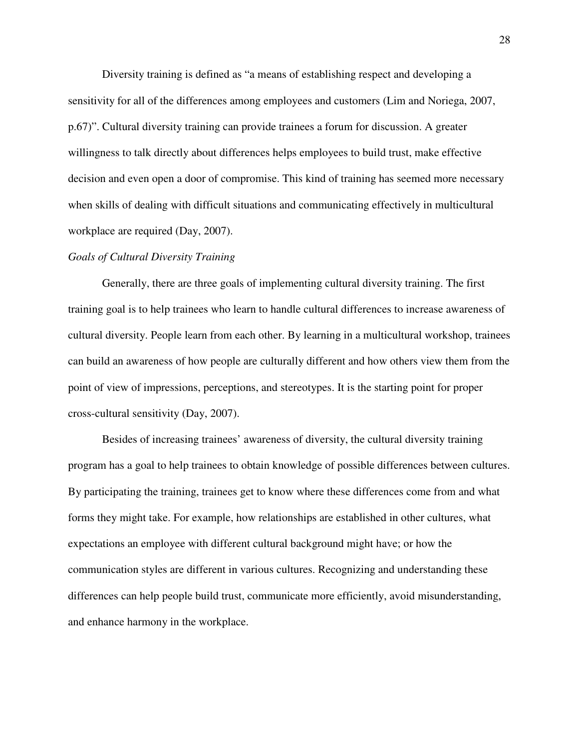Diversity training is defined as "a means of establishing respect and developing a sensitivity for all of the differences among employees and customers (Lim and Noriega, 2007, p.67)". Cultural diversity training can provide trainees a forum for discussion. A greater willingness to talk directly about differences helps employees to build trust, make effective decision and even open a door of compromise. This kind of training has seemed more necessary when skills of dealing with difficult situations and communicating effectively in multicultural workplace are required (Day, 2007).

#### *Goals of Cultural Diversity Training*

Generally, there are three goals of implementing cultural diversity training. The first training goal is to help trainees who learn to handle cultural differences to increase awareness of cultural diversity. People learn from each other. By learning in a multicultural workshop, trainees can build an awareness of how people are culturally different and how others view them from the point of view of impressions, perceptions, and stereotypes. It is the starting point for proper cross-cultural sensitivity (Day, 2007).

Besides of increasing trainees' awareness of diversity, the cultural diversity training program has a goal to help trainees to obtain knowledge of possible differences between cultures. By participating the training, trainees get to know where these differences come from and what forms they might take. For example, how relationships are established in other cultures, what expectations an employee with different cultural background might have; or how the communication styles are different in various cultures. Recognizing and understanding these differences can help people build trust, communicate more efficiently, avoid misunderstanding, and enhance harmony in the workplace.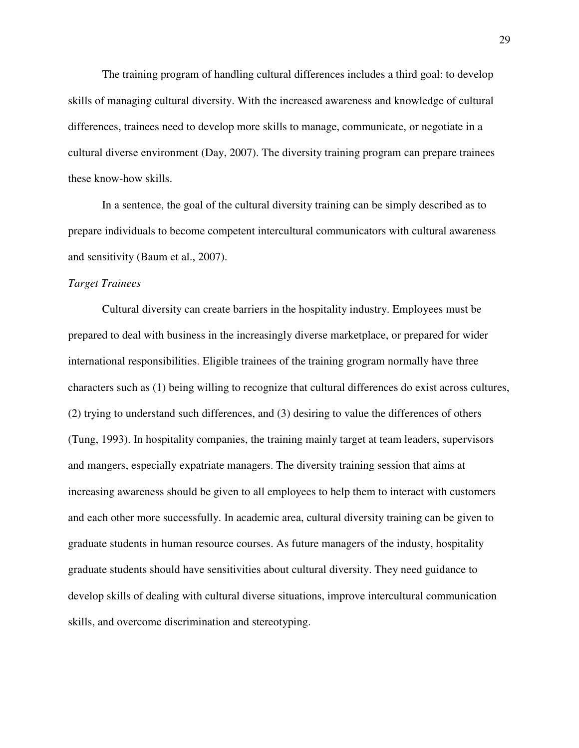The training program of handling cultural differences includes a third goal: to develop skills of managing cultural diversity. With the increased awareness and knowledge of cultural differences, trainees need to develop more skills to manage, communicate, or negotiate in a cultural diverse environment (Day, 2007). The diversity training program can prepare trainees these know-how skills.

In a sentence, the goal of the cultural diversity training can be simply described as to prepare individuals to become competent intercultural communicators with cultural awareness and sensitivity (Baum et al., 2007).

#### *Target Trainees*

Cultural diversity can create barriers in the hospitality industry. Employees must be prepared to deal with business in the increasingly diverse marketplace, or prepared for wider international responsibilities. Eligible trainees of the training grogram normally have three characters such as (1) being willing to recognize that cultural differences do exist across cultures, (2) trying to understand such differences, and (3) desiring to value the differences of others (Tung, 1993). In hospitality companies, the training mainly target at team leaders, supervisors and mangers, especially expatriate managers. The diversity training session that aims at increasing awareness should be given to all employees to help them to interact with customers and each other more successfully. In academic area, cultural diversity training can be given to graduate students in human resource courses. As future managers of the industy, hospitality graduate students should have sensitivities about cultural diversity. They need guidance to develop skills of dealing with cultural diverse situations, improve intercultural communication skills, and overcome discrimination and stereotyping.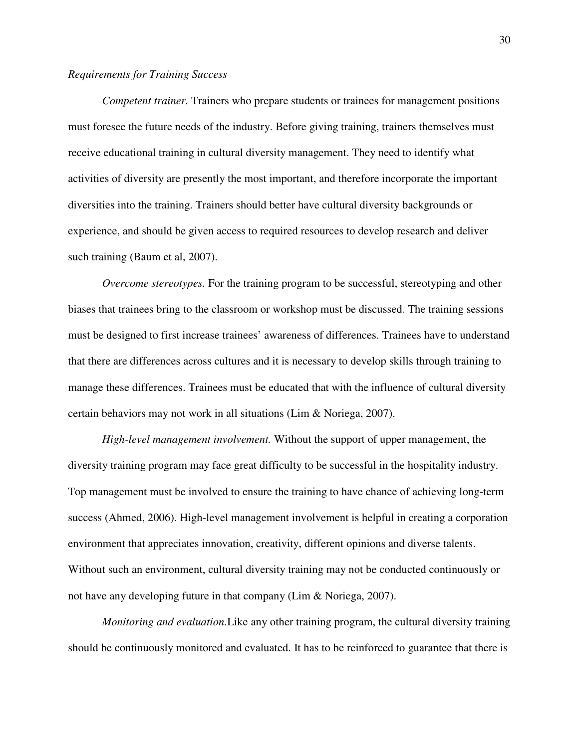#### *Requirements for Training Success*

*Competent trainer.* Trainers who prepare students or trainees for management positions must foresee the future needs of the industry. Before giving training, trainers themselves must receive educational training in cultural diversity management. They need to identify what activities of diversity are presently the most important, and therefore incorporate the important diversities into the training. Trainers should better have cultural diversity backgrounds or experience, and should be given access to required resources to develop research and deliver such training (Baum et al, 2007).

*Overcome stereotypes.* For the training program to be successful, stereotyping and other biases that trainees bring to the classroom or workshop must be discussed. The training sessions must be designed to first increase trainees' awareness of differences. Trainees have to understand that there are differences across cultures and it is necessary to develop skills through training to manage these differences. Trainees must be educated that with the influence of cultural diversity certain behaviors may not work in all situations (Lim & Noriega, 2007).

*High-level management involvement.* Without the support of upper management, the diversity training program may face great difficulty to be successful in the hospitality industry. Top management must be involved to ensure the training to have chance of achieving long-term success (Ahmed, 2006). High-level management involvement is helpful in creating a corporation environment that appreciates innovation, creativity, different opinions and diverse talents. Without such an environment, cultural diversity training may not be conducted continuously or not have any developing future in that company (Lim & Noriega, 2007).

*Monitoring and evaluation.*Like any other training program, the cultural diversity training should be continuously monitored and evaluated. It has to be reinforced to guarantee that there is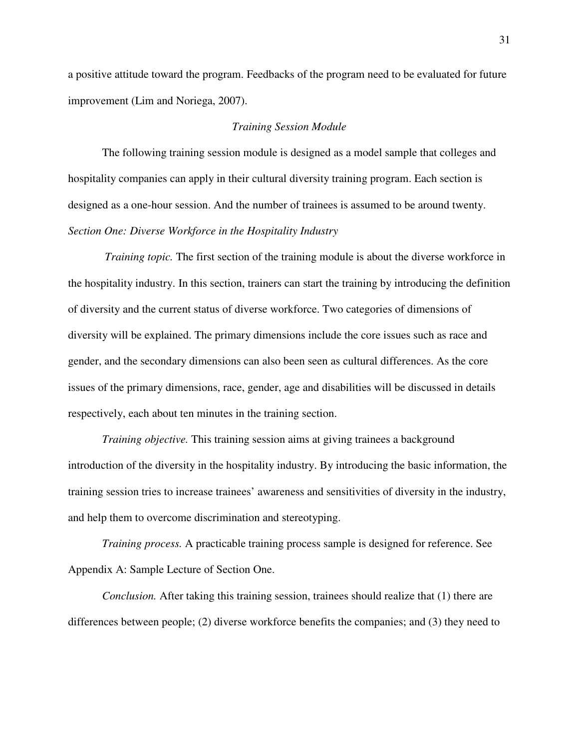a positive attitude toward the program. Feedbacks of the program need to be evaluated for future improvement (Lim and Noriega, 2007).

#### *Training Session Module*

The following training session module is designed as a model sample that colleges and hospitality companies can apply in their cultural diversity training program. Each section is designed as a one-hour session. And the number of trainees is assumed to be around twenty. *Section One: Diverse Workforce in the Hospitality Industry* 

 *Training topic.* The first section of the training module is about the diverse workforce in the hospitality industry. In this section, trainers can start the training by introducing the definition of diversity and the current status of diverse workforce. Two categories of dimensions of diversity will be explained. The primary dimensions include the core issues such as race and gender, and the secondary dimensions can also been seen as cultural differences. As the core issues of the primary dimensions, race, gender, age and disabilities will be discussed in details respectively, each about ten minutes in the training section.

*Training objective.* This training session aims at giving trainees a background introduction of the diversity in the hospitality industry. By introducing the basic information, the training session tries to increase trainees' awareness and sensitivities of diversity in the industry, and help them to overcome discrimination and stereotyping.

*Training process.* A practicable training process sample is designed for reference. See Appendix A: Sample Lecture of Section One.

*Conclusion.* After taking this training session, trainees should realize that (1) there are differences between people; (2) diverse workforce benefits the companies; and (3) they need to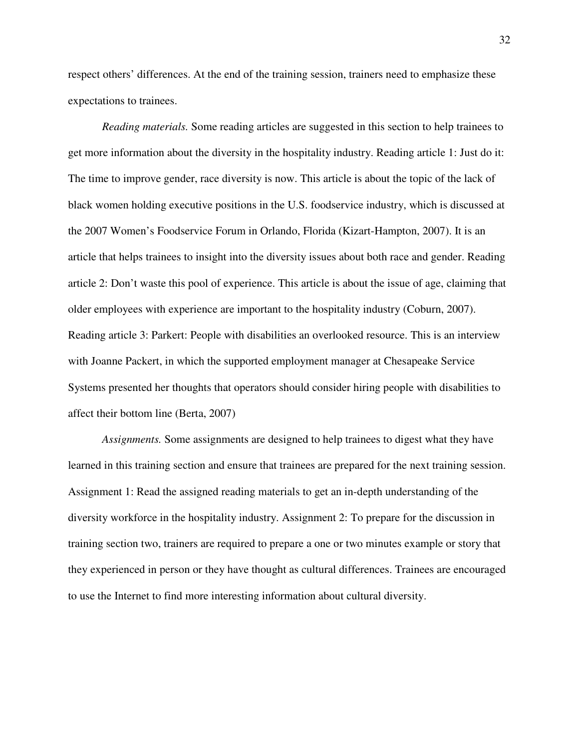respect others' differences. At the end of the training session, trainers need to emphasize these expectations to trainees.

*Reading materials.* Some reading articles are suggested in this section to help trainees to get more information about the diversity in the hospitality industry. Reading article 1: Just do it: The time to improve gender, race diversity is now. This article is about the topic of the lack of black women holding executive positions in the U.S. foodservice industry, which is discussed at the 2007 Women's Foodservice Forum in Orlando, Florida (Kizart-Hampton, 2007). It is an article that helps trainees to insight into the diversity issues about both race and gender. Reading article 2: Don't waste this pool of experience. This article is about the issue of age, claiming that older employees with experience are important to the hospitality industry (Coburn, 2007). Reading article 3: Parkert: People with disabilities an overlooked resource. This is an interview with Joanne Packert, in which the supported employment manager at Chesapeake Service Systems presented her thoughts that operators should consider hiring people with disabilities to affect their bottom line (Berta, 2007)

*Assignments.* Some assignments are designed to help trainees to digest what they have learned in this training section and ensure that trainees are prepared for the next training session. Assignment 1: Read the assigned reading materials to get an in-depth understanding of the diversity workforce in the hospitality industry. Assignment 2: To prepare for the discussion in training section two, trainers are required to prepare a one or two minutes example or story that they experienced in person or they have thought as cultural differences. Trainees are encouraged to use the Internet to find more interesting information about cultural diversity.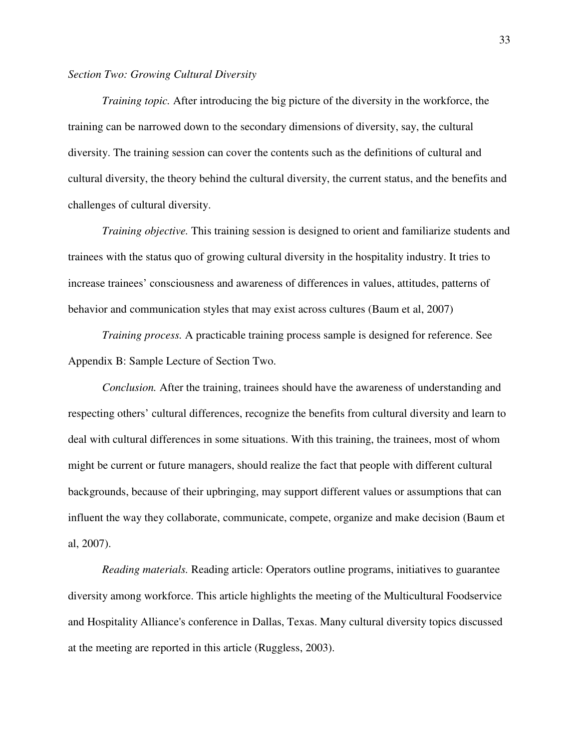#### *Section Two: Growing Cultural Diversity*

*Training topic.* After introducing the big picture of the diversity in the workforce, the training can be narrowed down to the secondary dimensions of diversity, say, the cultural diversity. The training session can cover the contents such as the definitions of cultural and cultural diversity, the theory behind the cultural diversity, the current status, and the benefits and challenges of cultural diversity.

*Training objective.* This training session is designed to orient and familiarize students and trainees with the status quo of growing cultural diversity in the hospitality industry. It tries to increase trainees' consciousness and awareness of differences in values, attitudes, patterns of behavior and communication styles that may exist across cultures (Baum et al, 2007)

*Training process.* A practicable training process sample is designed for reference. See Appendix B: Sample Lecture of Section Two.

*Conclusion.* After the training, trainees should have the awareness of understanding and respecting others' cultural differences, recognize the benefits from cultural diversity and learn to deal with cultural differences in some situations. With this training, the trainees, most of whom might be current or future managers, should realize the fact that people with different cultural backgrounds, because of their upbringing, may support different values or assumptions that can influent the way they collaborate, communicate, compete, organize and make decision (Baum et al, 2007).

*Reading materials.* Reading article: Operators outline programs, initiatives to guarantee diversity among workforce. This article highlights the meeting of the Multicultural Foodservice and Hospitality Alliance's conference in Dallas, Texas. Many cultural diversity topics discussed at the meeting are reported in this article (Ruggless, 2003).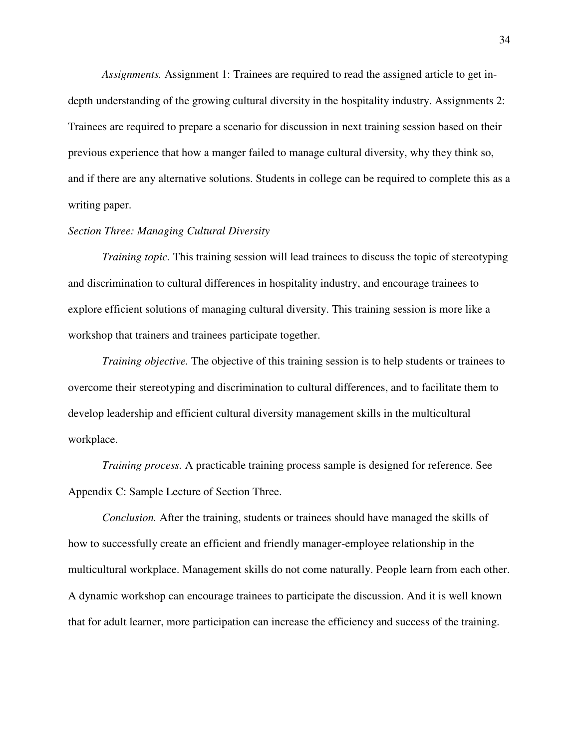*Assignments.* Assignment 1: Trainees are required to read the assigned article to get indepth understanding of the growing cultural diversity in the hospitality industry. Assignments 2: Trainees are required to prepare a scenario for discussion in next training session based on their previous experience that how a manger failed to manage cultural diversity, why they think so, and if there are any alternative solutions. Students in college can be required to complete this as a writing paper.

#### *Section Three: Managing Cultural Diversity*

*Training topic.* This training session will lead trainees to discuss the topic of stereotyping and discrimination to cultural differences in hospitality industry, and encourage trainees to explore efficient solutions of managing cultural diversity. This training session is more like a workshop that trainers and trainees participate together.

*Training objective.* The objective of this training session is to help students or trainees to overcome their stereotyping and discrimination to cultural differences, and to facilitate them to develop leadership and efficient cultural diversity management skills in the multicultural workplace.

*Training process.* A practicable training process sample is designed for reference. See Appendix C: Sample Lecture of Section Three.

*Conclusion.* After the training, students or trainees should have managed the skills of how to successfully create an efficient and friendly manager-employee relationship in the multicultural workplace. Management skills do not come naturally. People learn from each other. A dynamic workshop can encourage trainees to participate the discussion. And it is well known that for adult learner, more participation can increase the efficiency and success of the training.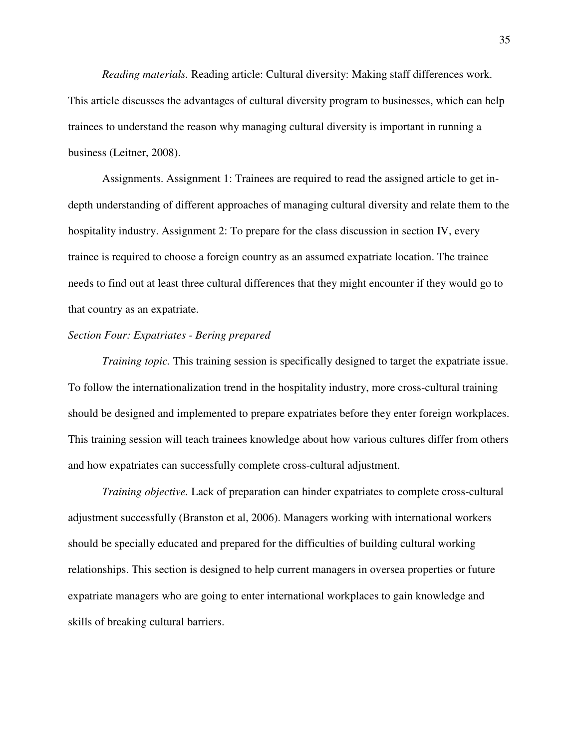*Reading materials.* Reading article: Cultural diversity: Making staff differences work. This article discusses the advantages of cultural diversity program to businesses, which can help trainees to understand the reason why managing cultural diversity is important in running a business (Leitner, 2008).

Assignments. Assignment 1: Trainees are required to read the assigned article to get indepth understanding of different approaches of managing cultural diversity and relate them to the hospitality industry. Assignment 2: To prepare for the class discussion in section IV, every trainee is required to choose a foreign country as an assumed expatriate location. The trainee needs to find out at least three cultural differences that they might encounter if they would go to that country as an expatriate.

#### *Section Four: Expatriates - Bering prepared*

*Training topic.* This training session is specifically designed to target the expatriate issue. To follow the internationalization trend in the hospitality industry, more cross-cultural training should be designed and implemented to prepare expatriates before they enter foreign workplaces. This training session will teach trainees knowledge about how various cultures differ from others and how expatriates can successfully complete cross-cultural adjustment.

*Training objective.* Lack of preparation can hinder expatriates to complete cross-cultural adjustment successfully (Branston et al, 2006). Managers working with international workers should be specially educated and prepared for the difficulties of building cultural working relationships. This section is designed to help current managers in oversea properties or future expatriate managers who are going to enter international workplaces to gain knowledge and skills of breaking cultural barriers.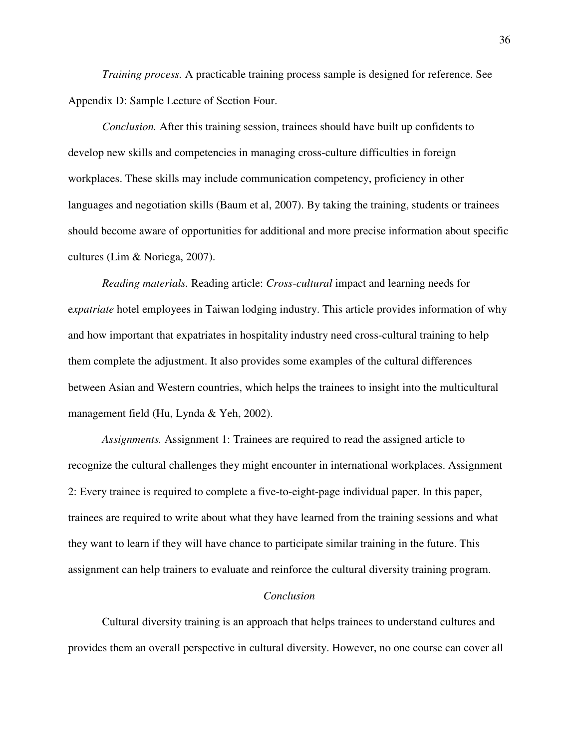*Training process.* A practicable training process sample is designed for reference. See Appendix D: Sample Lecture of Section Four.

*Conclusion.* After this training session, trainees should have built up confidents to develop new skills and competencies in managing cross-culture difficulties in foreign workplaces. These skills may include communication competency, proficiency in other languages and negotiation skills (Baum et al, 2007). By taking the training, students or trainees should become aware of opportunities for additional and more precise information about specific cultures (Lim & Noriega, 2007).

*Reading materials.* Reading article: *Cross*-*cultural* impact and learning needs for e*xpatriate* hotel employees in Taiwan lodging industry. This article provides information of why and how important that expatriates in hospitality industry need cross-cultural training to help them complete the adjustment. It also provides some examples of the cultural differences between Asian and Western countries, which helps the trainees to insight into the multicultural management field (Hu, Lynda & Yeh, 2002).

*Assignments.* Assignment 1: Trainees are required to read the assigned article to recognize the cultural challenges they might encounter in international workplaces. Assignment 2: Every trainee is required to complete a five-to-eight-page individual paper. In this paper, trainees are required to write about what they have learned from the training sessions and what they want to learn if they will have chance to participate similar training in the future. This assignment can help trainers to evaluate and reinforce the cultural diversity training program.

#### *Conclusion*

Cultural diversity training is an approach that helps trainees to understand cultures and provides them an overall perspective in cultural diversity. However, no one course can cover all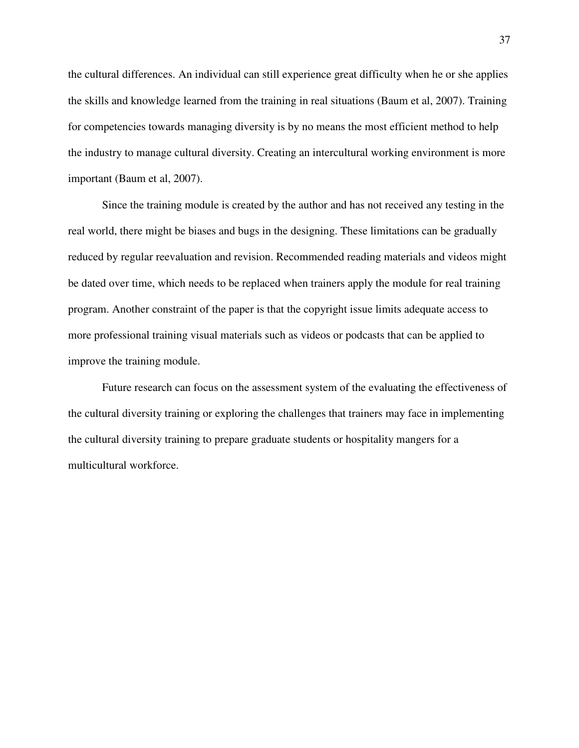the cultural differences. An individual can still experience great difficulty when he or she applies the skills and knowledge learned from the training in real situations (Baum et al, 2007). Training for competencies towards managing diversity is by no means the most efficient method to help the industry to manage cultural diversity. Creating an intercultural working environment is more important (Baum et al, 2007).

Since the training module is created by the author and has not received any testing in the real world, there might be biases and bugs in the designing. These limitations can be gradually reduced by regular reevaluation and revision. Recommended reading materials and videos might be dated over time, which needs to be replaced when trainers apply the module for real training program. Another constraint of the paper is that the copyright issue limits adequate access to more professional training visual materials such as videos or podcasts that can be applied to improve the training module.

Future research can focus on the assessment system of the evaluating the effectiveness of the cultural diversity training or exploring the challenges that trainers may face in implementing the cultural diversity training to prepare graduate students or hospitality mangers for a multicultural workforce.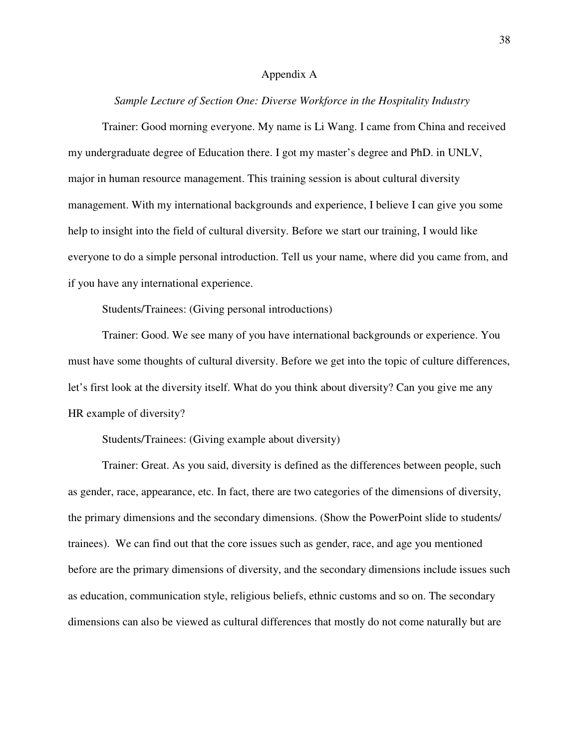#### Appendix A

#### *Sample Lecture of Section One: Diverse Workforce in the Hospitality Industry*

Trainer: Good morning everyone. My name is Li Wang. I came from China and received my undergraduate degree of Education there. I got my master's degree and PhD. in UNLV, major in human resource management. This training session is about cultural diversity management. With my international backgrounds and experience, I believe I can give you some help to insight into the field of cultural diversity. Before we start our training, I would like everyone to do a simple personal introduction. Tell us your name, where did you came from, and if you have any international experience.

Students/Trainees: (Giving personal introductions)

Trainer: Good. We see many of you have international backgrounds or experience. You must have some thoughts of cultural diversity. Before we get into the topic of culture differences, let's first look at the diversity itself. What do you think about diversity? Can you give me any HR example of diversity?

Students/Trainees: (Giving example about diversity)

Trainer: Great. As you said, diversity is defined as the differences between people, such as gender, race, appearance, etc. In fact, there are two categories of the dimensions of diversity, the primary dimensions and the secondary dimensions. (Show the PowerPoint slide to students/ trainees). We can find out that the core issues such as gender, race, and age you mentioned before are the primary dimensions of diversity, and the secondary dimensions include issues such as education, communication style, religious beliefs, ethnic customs and so on. The secondary dimensions can also be viewed as cultural differences that mostly do not come naturally but are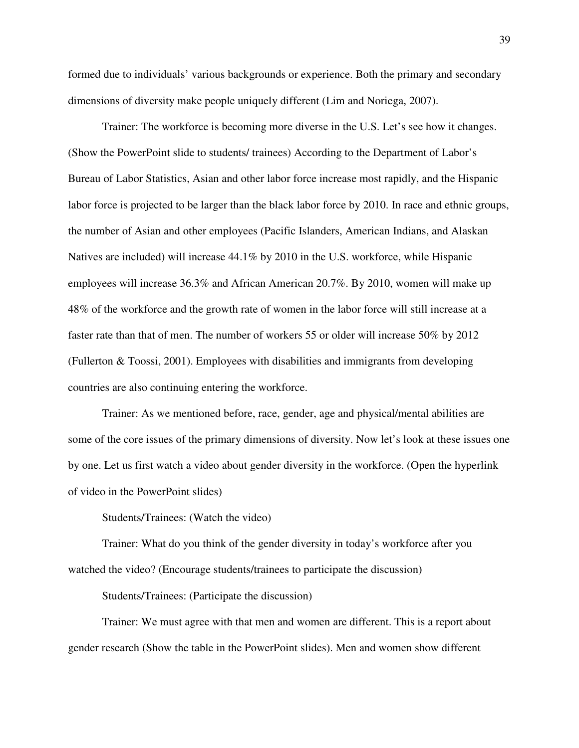formed due to individuals' various backgrounds or experience. Both the primary and secondary dimensions of diversity make people uniquely different (Lim and Noriega, 2007).

Trainer: The workforce is becoming more diverse in the U.S. Let's see how it changes. (Show the PowerPoint slide to students/ trainees) According to the Department of Labor's Bureau of Labor Statistics, Asian and other labor force increase most rapidly, and the Hispanic labor force is projected to be larger than the black labor force by 2010. In race and ethnic groups, the number of Asian and other employees (Pacific Islanders, American Indians, and Alaskan Natives are included) will increase 44.1% by 2010 in the U.S. workforce, while Hispanic employees will increase 36.3% and African American 20.7%. By 2010, women will make up 48% of the workforce and the growth rate of women in the labor force will still increase at a faster rate than that of men. The number of workers 55 or older will increase 50% by 2012 (Fullerton & Toossi, 2001). Employees with disabilities and immigrants from developing countries are also continuing entering the workforce.

Trainer: As we mentioned before, race, gender, age and physical/mental abilities are some of the core issues of the primary dimensions of diversity. Now let's look at these issues one by one. Let us first watch a video about gender diversity in the workforce. (Open the hyperlink of video in the PowerPoint slides)

Students/Trainees: (Watch the video)

Trainer: What do you think of the gender diversity in today's workforce after you watched the video? (Encourage students/trainees to participate the discussion)

Students/Trainees: (Participate the discussion)

Trainer: We must agree with that men and women are different. This is a report about gender research (Show the table in the PowerPoint slides). Men and women show different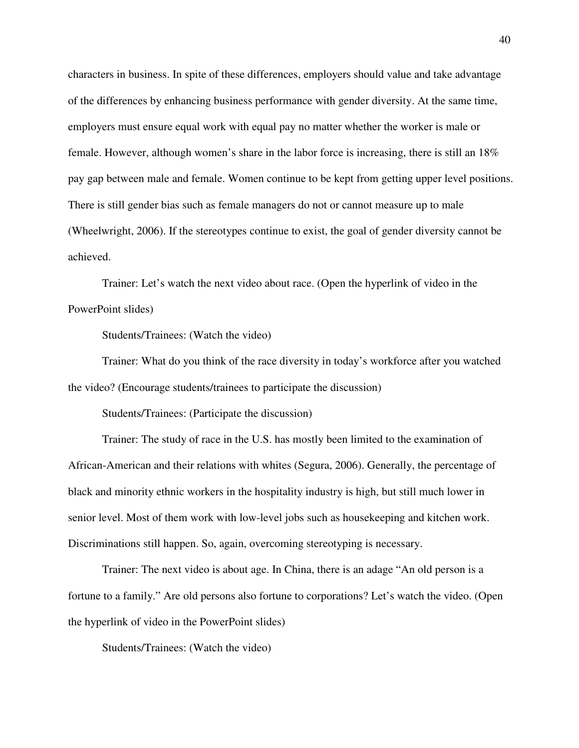characters in business. In spite of these differences, employers should value and take advantage of the differences by enhancing business performance with gender diversity. At the same time, employers must ensure equal work with equal pay no matter whether the worker is male or female. However, although women's share in the labor force is increasing, there is still an 18% pay gap between male and female. Women continue to be kept from getting upper level positions. There is still gender bias such as female managers do not or cannot measure up to male (Wheelwright, 2006). If the stereotypes continue to exist, the goal of gender diversity cannot be achieved.

Trainer: Let's watch the next video about race. (Open the hyperlink of video in the PowerPoint slides)

Students/Trainees: (Watch the video)

Trainer: What do you think of the race diversity in today's workforce after you watched the video? (Encourage students/trainees to participate the discussion)

Students/Trainees: (Participate the discussion)

Trainer: The study of race in the U.S. has mostly been limited to the examination of African-American and their relations with whites (Segura, 2006). Generally, the percentage of black and minority ethnic workers in the hospitality industry is high, but still much lower in senior level. Most of them work with low-level jobs such as housekeeping and kitchen work. Discriminations still happen. So, again, overcoming stereotyping is necessary.

Trainer: The next video is about age. In China, there is an adage "An old person is a fortune to a family." Are old persons also fortune to corporations? Let's watch the video. (Open the hyperlink of video in the PowerPoint slides)

Students/Trainees: (Watch the video)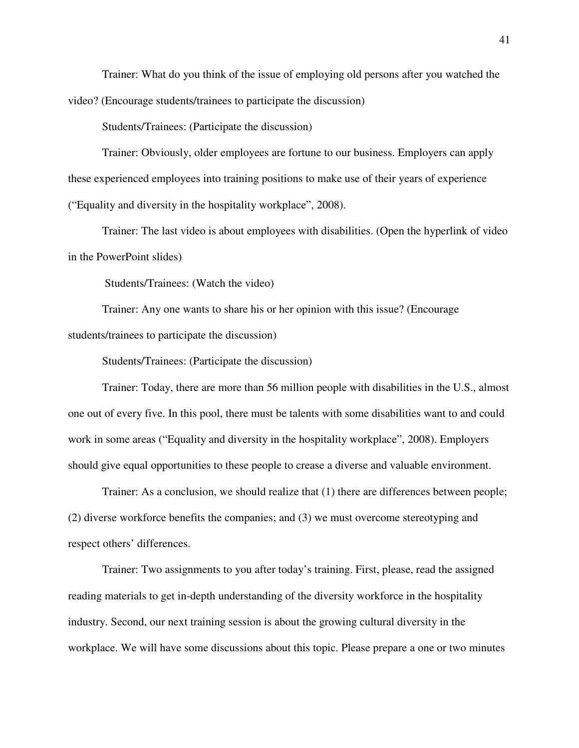Trainer: What do you think of the issue of employing old persons after you watched the video? (Encourage students/trainees to participate the discussion)

Students/Trainees: (Participate the discussion)

Trainer: Obviously, older employees are fortune to our business. Employers can apply these experienced employees into training positions to make use of their years of experience ("Equality and diversity in the hospitality workplace", 2008).

Trainer: The last video is about employees with disabilities. (Open the hyperlink of video in the PowerPoint slides)

Students/Trainees: (Watch the video)

Trainer: Any one wants to share his or her opinion with this issue? (Encourage students/trainees to participate the discussion)

Students/Trainees: (Participate the discussion)

Trainer: Today, there are more than 56 million people with disabilities in the U.S., almost one out of every five. In this pool, there must be talents with some disabilities want to and could work in some areas ("Equality and diversity in the hospitality workplace", 2008). Employers should give equal opportunities to these people to crease a diverse and valuable environment.

Trainer: As a conclusion, we should realize that (1) there are differences between people; (2) diverse workforce benefits the companies; and (3) we must overcome stereotyping and respect others' differences.

Trainer: Two assignments to you after today's training. First, please, read the assigned reading materials to get in-depth understanding of the diversity workforce in the hospitality industry. Second, our next training session is about the growing cultural diversity in the workplace. We will have some discussions about this topic. Please prepare a one or two minutes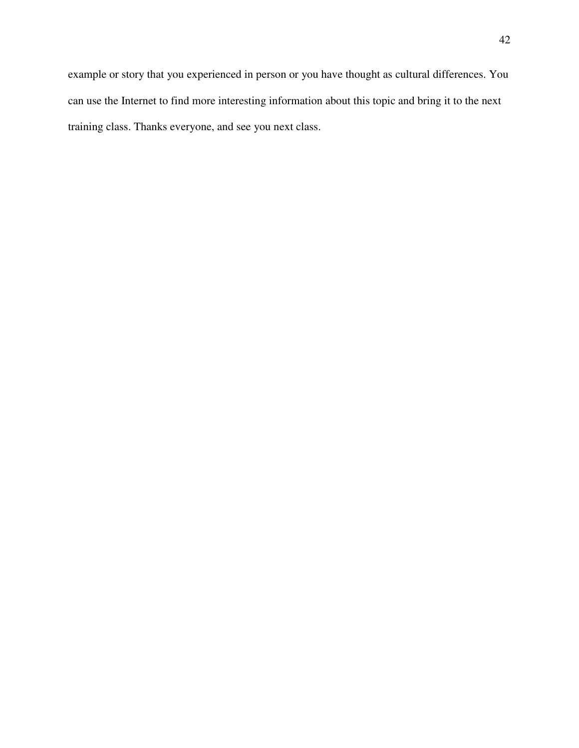example or story that you experienced in person or you have thought as cultural differences. You can use the Internet to find more interesting information about this topic and bring it to the next training class. Thanks everyone, and see you next class.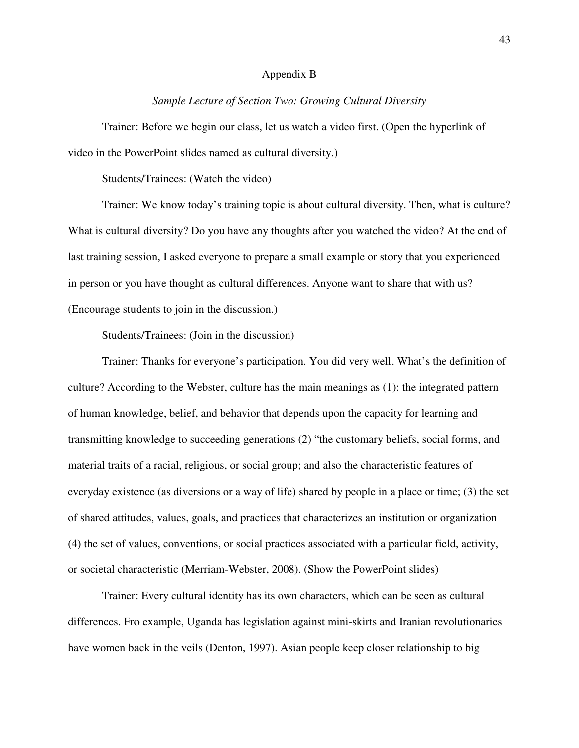#### Appendix B

#### *Sample Lecture of Section Two: Growing Cultural Diversity*

Trainer: Before we begin our class, let us watch a video first. (Open the hyperlink of video in the PowerPoint slides named as cultural diversity.)

Students/Trainees: (Watch the video)

Trainer: We know today's training topic is about cultural diversity. Then, what is culture? What is cultural diversity? Do you have any thoughts after you watched the video? At the end of last training session, I asked everyone to prepare a small example or story that you experienced in person or you have thought as cultural differences. Anyone want to share that with us? (Encourage students to join in the discussion.)

Students/Trainees: (Join in the discussion)

Trainer: Thanks for everyone's participation. You did very well. What's the definition of culture? According to the Webster, culture has the main meanings as (1): the integrated pattern of human knowledge, belief, and behavior that depends upon the capacity for learning and transmitting knowledge to succeeding generations (2) "the customary beliefs, social forms, and material traits of a racial, religious, or social group; and also the characteristic features of everyday existence (as diversions or a way of life) shared by people in a place or time; (3) the set of shared attitudes, values, goals, and practices that characterizes an institution or organization (4) the set of values, conventions, or social practices associated with a particular field, activity, or societal characteristic (Merriam-Webster, 2008). (Show the PowerPoint slides)

Trainer: Every cultural identity has its own characters, which can be seen as cultural differences. Fro example, Uganda has legislation against mini-skirts and Iranian revolutionaries have women back in the veils (Denton, 1997). Asian people keep closer relationship to big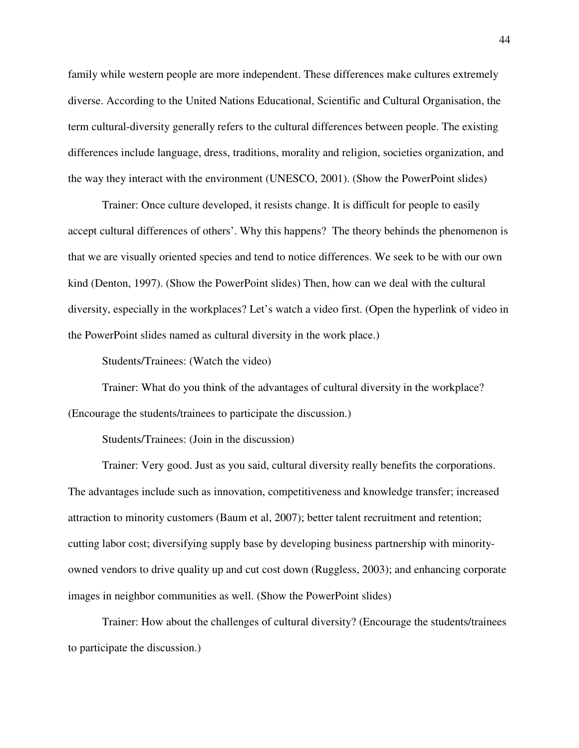family while western people are more independent. These differences make cultures extremely diverse. According to the United Nations Educational, Scientific and Cultural Organisation, the term cultural-diversity generally refers to the cultural differences between people. The existing differences include language, dress, traditions, morality and religion, societies organization, and the way they interact with the environment (UNESCO, 2001). (Show the PowerPoint slides)

Trainer: Once culture developed, it resists change. It is difficult for people to easily accept cultural differences of others'. Why this happens? The theory behinds the phenomenon is that we are visually oriented species and tend to notice differences. We seek to be with our own kind (Denton, 1997). (Show the PowerPoint slides) Then, how can we deal with the cultural diversity, especially in the workplaces? Let's watch a video first. (Open the hyperlink of video in the PowerPoint slides named as cultural diversity in the work place.)

Students/Trainees: (Watch the video)

Trainer: What do you think of the advantages of cultural diversity in the workplace? (Encourage the students/trainees to participate the discussion.)

Students/Trainees: (Join in the discussion)

Trainer: Very good. Just as you said, cultural diversity really benefits the corporations. The advantages include such as innovation, competitiveness and knowledge transfer; increased attraction to minority customers (Baum et al, 2007); better talent recruitment and retention; cutting labor cost; diversifying supply base by developing business partnership with minorityowned vendors to drive quality up and cut cost down (Ruggless, 2003); and enhancing corporate images in neighbor communities as well. (Show the PowerPoint slides)

Trainer: How about the challenges of cultural diversity? (Encourage the students/trainees to participate the discussion.)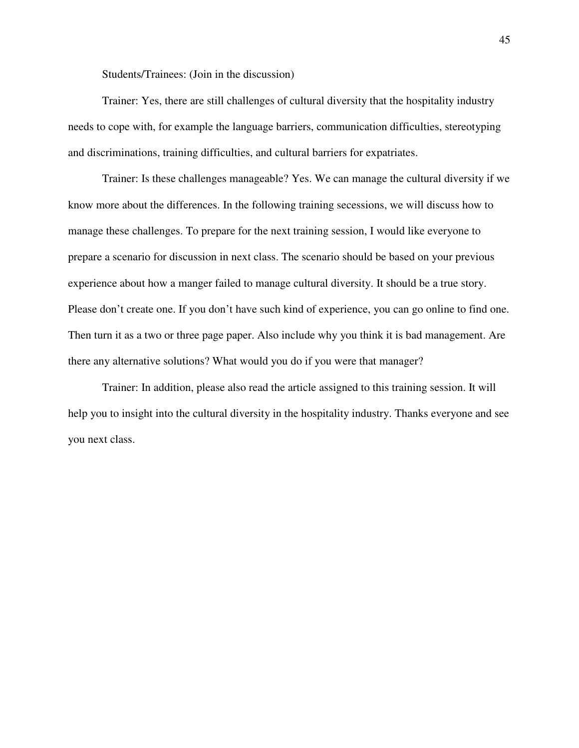Students/Trainees: (Join in the discussion)

Trainer: Yes, there are still challenges of cultural diversity that the hospitality industry needs to cope with, for example the language barriers, communication difficulties, stereotyping and discriminations, training difficulties, and cultural barriers for expatriates.

Trainer: Is these challenges manageable? Yes. We can manage the cultural diversity if we know more about the differences. In the following training secessions, we will discuss how to manage these challenges. To prepare for the next training session, I would like everyone to prepare a scenario for discussion in next class. The scenario should be based on your previous experience about how a manger failed to manage cultural diversity. It should be a true story. Please don't create one. If you don't have such kind of experience, you can go online to find one. Then turn it as a two or three page paper. Also include why you think it is bad management. Are there any alternative solutions? What would you do if you were that manager?

Trainer: In addition, please also read the article assigned to this training session. It will help you to insight into the cultural diversity in the hospitality industry. Thanks everyone and see you next class.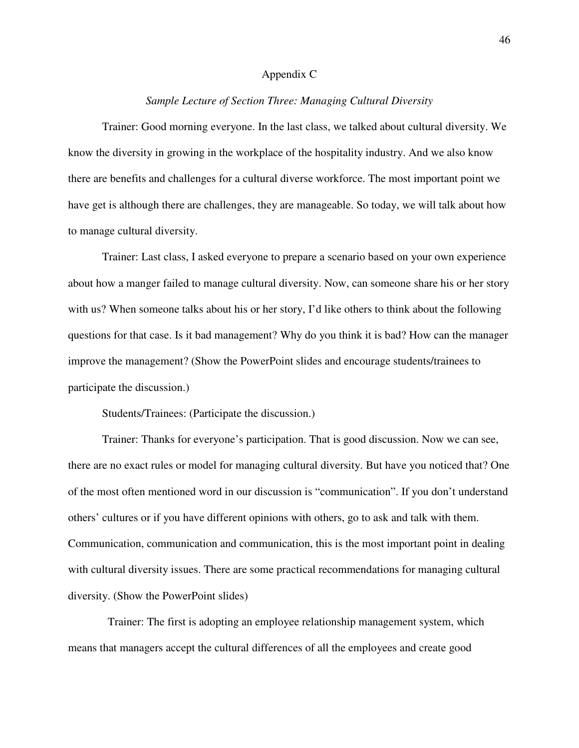#### Appendix C

#### *Sample Lecture of Section Three: Managing Cultural Diversity*

Trainer: Good morning everyone. In the last class, we talked about cultural diversity. We know the diversity in growing in the workplace of the hospitality industry. And we also know there are benefits and challenges for a cultural diverse workforce. The most important point we have get is although there are challenges, they are manageable. So today, we will talk about how to manage cultural diversity.

Trainer: Last class, I asked everyone to prepare a scenario based on your own experience about how a manger failed to manage cultural diversity. Now, can someone share his or her story with us? When someone talks about his or her story, I'd like others to think about the following questions for that case. Is it bad management? Why do you think it is bad? How can the manager improve the management? (Show the PowerPoint slides and encourage students/trainees to participate the discussion.)

Students/Trainees: (Participate the discussion.)

Trainer: Thanks for everyone's participation. That is good discussion. Now we can see, there are no exact rules or model for managing cultural diversity. But have you noticed that? One of the most often mentioned word in our discussion is "communication". If you don't understand others' cultures or if you have different opinions with others, go to ask and talk with them. Communication, communication and communication, this is the most important point in dealing with cultural diversity issues. There are some practical recommendations for managing cultural diversity. (Show the PowerPoint slides)

 Trainer: The first is adopting an employee relationship management system, which means that managers accept the cultural differences of all the employees and create good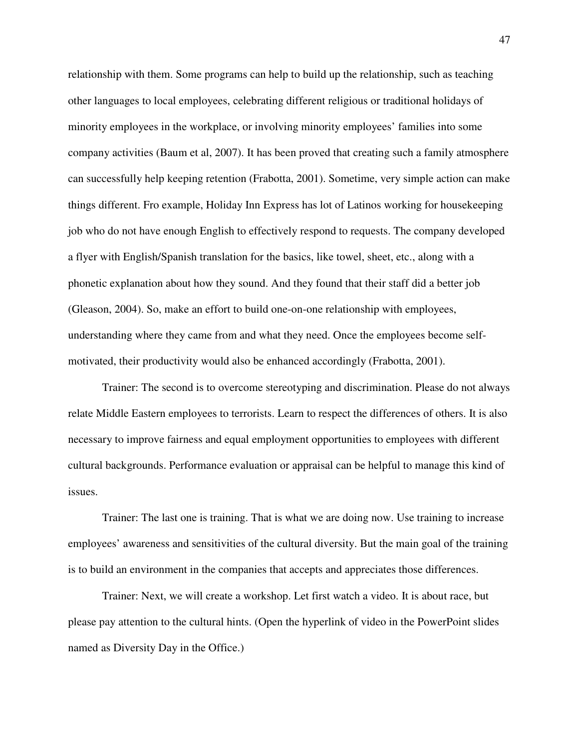relationship with them. Some programs can help to build up the relationship, such as teaching other languages to local employees, celebrating different religious or traditional holidays of minority employees in the workplace, or involving minority employees' families into some company activities (Baum et al, 2007). It has been proved that creating such a family atmosphere can successfully help keeping retention (Frabotta, 2001). Sometime, very simple action can make things different. Fro example, Holiday Inn Express has lot of Latinos working for housekeeping job who do not have enough English to effectively respond to requests. The company developed a flyer with English/Spanish translation for the basics, like towel, sheet, etc., along with a phonetic explanation about how they sound. And they found that their staff did a better job (Gleason, 2004). So, make an effort to build one-on-one relationship with employees, understanding where they came from and what they need. Once the employees become selfmotivated, their productivity would also be enhanced accordingly (Frabotta, 2001).

Trainer: The second is to overcome stereotyping and discrimination. Please do not always relate Middle Eastern employees to terrorists. Learn to respect the differences of others. It is also necessary to improve fairness and equal employment opportunities to employees with different cultural backgrounds. Performance evaluation or appraisal can be helpful to manage this kind of issues.

Trainer: The last one is training. That is what we are doing now. Use training to increase employees' awareness and sensitivities of the cultural diversity. But the main goal of the training is to build an environment in the companies that accepts and appreciates those differences.

Trainer: Next, we will create a workshop. Let first watch a video. It is about race, but please pay attention to the cultural hints. (Open the hyperlink of video in the PowerPoint slides named as Diversity Day in the Office.)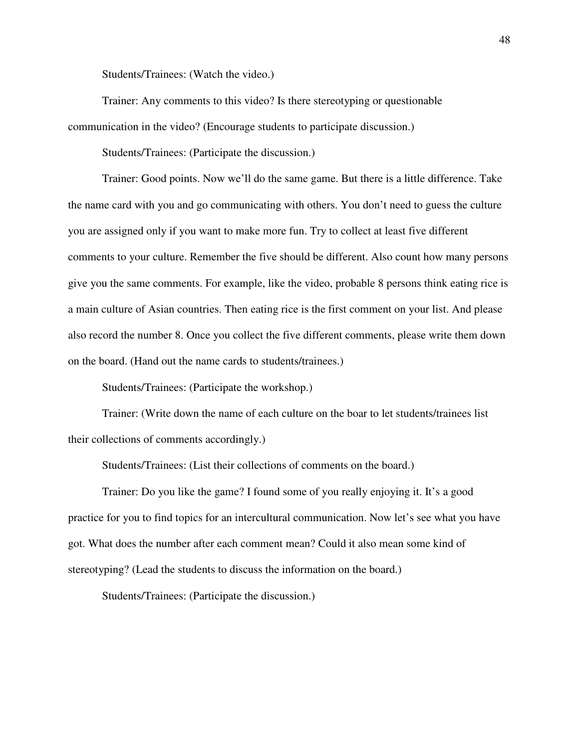Students/Trainees: (Watch the video.)

Trainer: Any comments to this video? Is there stereotyping or questionable communication in the video? (Encourage students to participate discussion.)

Students/Trainees: (Participate the discussion.)

Trainer: Good points. Now we'll do the same game. But there is a little difference. Take the name card with you and go communicating with others. You don't need to guess the culture you are assigned only if you want to make more fun. Try to collect at least five different comments to your culture. Remember the five should be different. Also count how many persons give you the same comments. For example, like the video, probable 8 persons think eating rice is a main culture of Asian countries. Then eating rice is the first comment on your list. And please also record the number 8. Once you collect the five different comments, please write them down on the board. (Hand out the name cards to students/trainees.)

Students/Trainees: (Participate the workshop.)

Trainer: (Write down the name of each culture on the boar to let students/trainees list their collections of comments accordingly.)

Students/Trainees: (List their collections of comments on the board.)

Trainer: Do you like the game? I found some of you really enjoying it. It's a good practice for you to find topics for an intercultural communication. Now let's see what you have got. What does the number after each comment mean? Could it also mean some kind of stereotyping? (Lead the students to discuss the information on the board.)

Students/Trainees: (Participate the discussion.)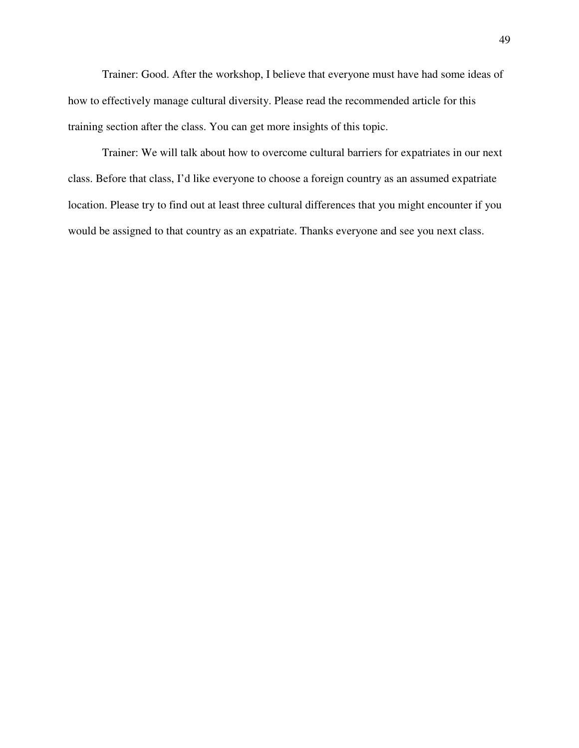Trainer: Good. After the workshop, I believe that everyone must have had some ideas of how to effectively manage cultural diversity. Please read the recommended article for this training section after the class. You can get more insights of this topic.

Trainer: We will talk about how to overcome cultural barriers for expatriates in our next class. Before that class, I'd like everyone to choose a foreign country as an assumed expatriate location. Please try to find out at least three cultural differences that you might encounter if you would be assigned to that country as an expatriate. Thanks everyone and see you next class.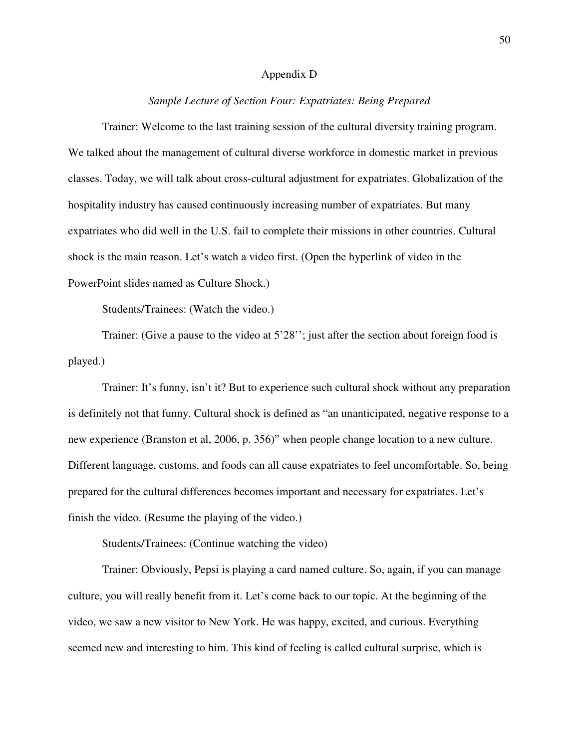#### Appendix D

#### *Sample Lecture of Section Four: Expatriates: Being Prepared*

Trainer: Welcome to the last training session of the cultural diversity training program. We talked about the management of cultural diverse workforce in domestic market in previous classes. Today, we will talk about cross-cultural adjustment for expatriates. Globalization of the hospitality industry has caused continuously increasing number of expatriates. But many expatriates who did well in the U.S. fail to complete their missions in other countries. Cultural shock is the main reason. Let's watch a video first. (Open the hyperlink of video in the PowerPoint slides named as Culture Shock.)

Students/Trainees: (Watch the video.)

Trainer: (Give a pause to the video at 5'28''; just after the section about foreign food is played.)

Trainer: It's funny, isn't it? But to experience such cultural shock without any preparation is definitely not that funny. Cultural shock is defined as "an unanticipated, negative response to a new experience (Branston et al, 2006, p. 356)" when people change location to a new culture. Different language, customs, and foods can all cause expatriates to feel uncomfortable. So, being prepared for the cultural differences becomes important and necessary for expatriates. Let's finish the video. (Resume the playing of the video.)

Students/Trainees: (Continue watching the video)

Trainer: Obviously, Pepsi is playing a card named culture. So, again, if you can manage culture, you will really benefit from it. Let's come back to our topic. At the beginning of the video, we saw a new visitor to New York. He was happy, excited, and curious. Everything seemed new and interesting to him. This kind of feeling is called cultural surprise, which is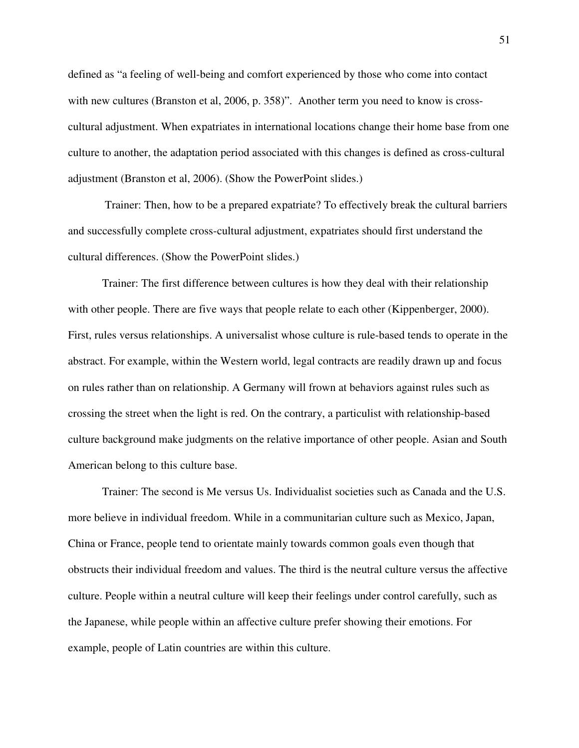defined as "a feeling of well-being and comfort experienced by those who come into contact with new cultures (Branston et al, 2006, p. 358)". Another term you need to know is crosscultural adjustment. When expatriates in international locations change their home base from one culture to another, the adaptation period associated with this changes is defined as cross-cultural adjustment (Branston et al, 2006). (Show the PowerPoint slides.)

 Trainer: Then, how to be a prepared expatriate? To effectively break the cultural barriers and successfully complete cross-cultural adjustment, expatriates should first understand the cultural differences. (Show the PowerPoint slides.)

Trainer: The first difference between cultures is how they deal with their relationship with other people. There are five ways that people relate to each other (Kippenberger, 2000). First, rules versus relationships. A universalist whose culture is rule-based tends to operate in the abstract. For example, within the Western world, legal contracts are readily drawn up and focus on rules rather than on relationship. A Germany will frown at behaviors against rules such as crossing the street when the light is red. On the contrary, a particulist with relationship-based culture background make judgments on the relative importance of other people. Asian and South American belong to this culture base.

Trainer: The second is Me versus Us. Individualist societies such as Canada and the U.S. more believe in individual freedom. While in a communitarian culture such as Mexico, Japan, China or France, people tend to orientate mainly towards common goals even though that obstructs their individual freedom and values. The third is the neutral culture versus the affective culture. People within a neutral culture will keep their feelings under control carefully, such as the Japanese, while people within an affective culture prefer showing their emotions. For example, people of Latin countries are within this culture.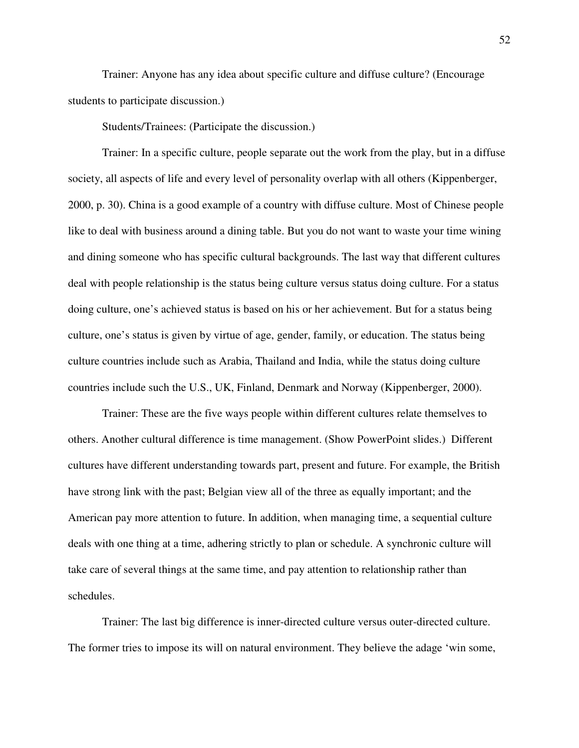Trainer: Anyone has any idea about specific culture and diffuse culture? (Encourage students to participate discussion.)

Students/Trainees: (Participate the discussion.)

Trainer: In a specific culture, people separate out the work from the play, but in a diffuse society, all aspects of life and every level of personality overlap with all others (Kippenberger, 2000, p. 30). China is a good example of a country with diffuse culture. Most of Chinese people like to deal with business around a dining table. But you do not want to waste your time wining and dining someone who has specific cultural backgrounds. The last way that different cultures deal with people relationship is the status being culture versus status doing culture. For a status doing culture, one's achieved status is based on his or her achievement. But for a status being culture, one's status is given by virtue of age, gender, family, or education. The status being culture countries include such as Arabia, Thailand and India, while the status doing culture countries include such the U.S., UK, Finland, Denmark and Norway (Kippenberger, 2000).

Trainer: These are the five ways people within different cultures relate themselves to others. Another cultural difference is time management. (Show PowerPoint slides.) Different cultures have different understanding towards part, present and future. For example, the British have strong link with the past; Belgian view all of the three as equally important; and the American pay more attention to future. In addition, when managing time, a sequential culture deals with one thing at a time, adhering strictly to plan or schedule. A synchronic culture will take care of several things at the same time, and pay attention to relationship rather than schedules.

Trainer: The last big difference is inner-directed culture versus outer-directed culture. The former tries to impose its will on natural environment. They believe the adage 'win some,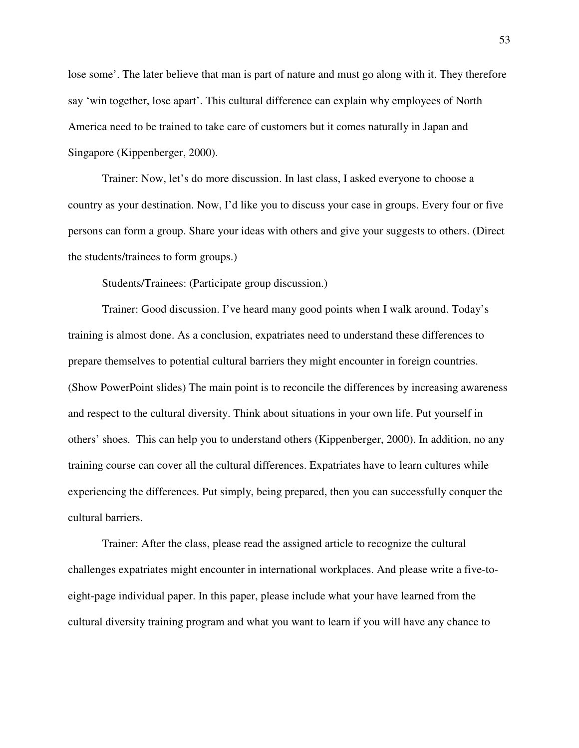lose some'. The later believe that man is part of nature and must go along with it. They therefore say 'win together, lose apart'. This cultural difference can explain why employees of North America need to be trained to take care of customers but it comes naturally in Japan and Singapore (Kippenberger, 2000).

Trainer: Now, let's do more discussion. In last class, I asked everyone to choose a country as your destination. Now, I'd like you to discuss your case in groups. Every four or five persons can form a group. Share your ideas with others and give your suggests to others. (Direct the students/trainees to form groups.)

Students/Trainees: (Participate group discussion.)

Trainer: Good discussion. I've heard many good points when I walk around. Today's training is almost done. As a conclusion, expatriates need to understand these differences to prepare themselves to potential cultural barriers they might encounter in foreign countries. (Show PowerPoint slides) The main point is to reconcile the differences by increasing awareness and respect to the cultural diversity. Think about situations in your own life. Put yourself in others' shoes. This can help you to understand others (Kippenberger, 2000). In addition, no any training course can cover all the cultural differences. Expatriates have to learn cultures while experiencing the differences. Put simply, being prepared, then you can successfully conquer the cultural barriers.

Trainer: After the class, please read the assigned article to recognize the cultural challenges expatriates might encounter in international workplaces. And please write a five-toeight-page individual paper. In this paper, please include what your have learned from the cultural diversity training program and what you want to learn if you will have any chance to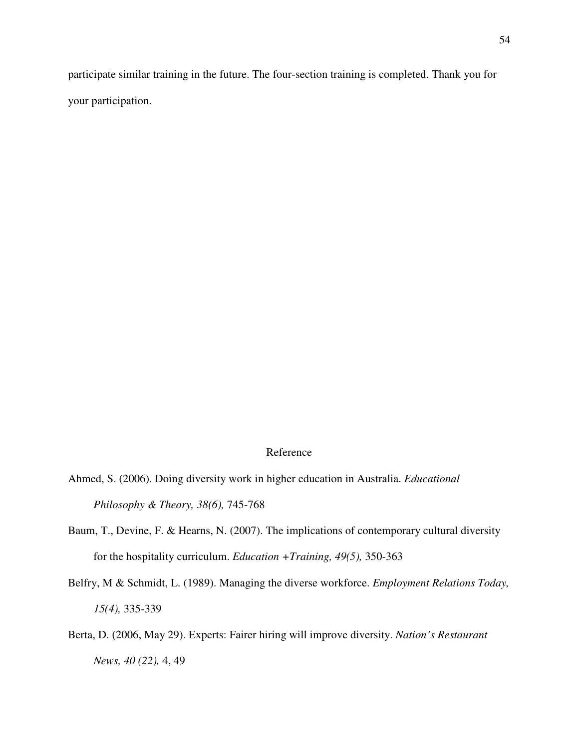participate similar training in the future. The four-section training is completed. Thank you for your participation.

## Reference

Ahmed, S. (2006). Doing diversity work in higher education in Australia. *Educational Philosophy & Theory, 38(6),* 745-768

- Baum, T., Devine, F. & Hearns, N. (2007). The implications of contemporary cultural diversity for the hospitality curriculum. *Education +Training, 49(5),* 350-363
- Belfry, M & Schmidt, L. (1989). Managing the diverse workforce. *Employment Relations Today, 15(4),* 335-339
- Berta, D. (2006, May 29). Experts: Fairer hiring will improve diversity. *Nation's Restaurant News, 40 (22),* 4, 49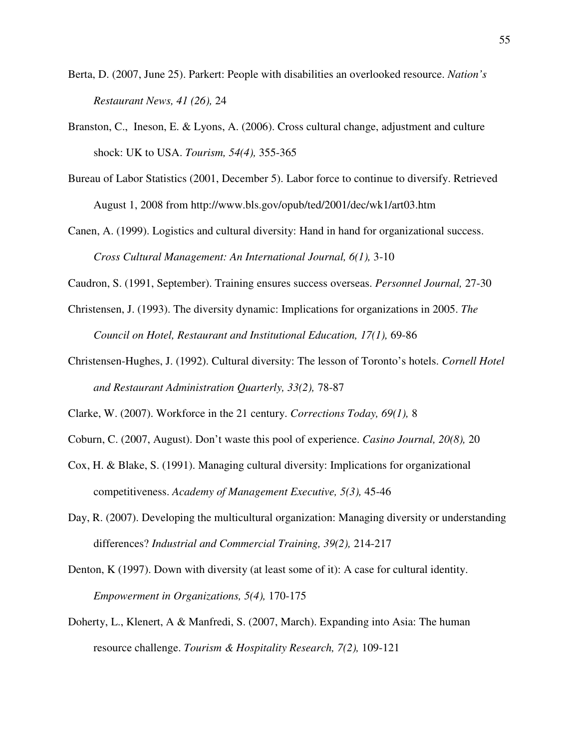- Berta, D. (2007, June 25). Parkert: People with disabilities an overlooked resource. *Nation's Restaurant News, 41 (26),* 24
- Branston, C., Ineson, E. & Lyons, A. (2006). Cross cultural change, adjustment and culture shock: UK to USA. *Tourism, 54(4),* 355-365
- Bureau of Labor Statistics (2001, December 5). Labor force to continue to diversify. Retrieved August 1, 2008 from http://www.bls.gov/opub/ted/2001/dec/wk1/art03.htm
- Canen, A. (1999). Logistics and cultural diversity: Hand in hand for organizational success. *Cross Cultural Management: An International Journal, 6(1),* 3-10
- Caudron, S. (1991, September). Training ensures success overseas. *Personnel Journal,* 27-30
- Christensen, J. (1993). The diversity dynamic: Implications for organizations in 2005. *The Council on Hotel, Restaurant and Institutional Education, 17(1),* 69-86
- Christensen-Hughes, J. (1992). Cultural diversity: The lesson of Toronto's hotels. *Cornell Hotel and Restaurant Administration Quarterly, 33(2),* 78-87
- Clarke, W. (2007). Workforce in the 21 century. *Corrections Today, 69(1),* 8
- Coburn, C. (2007, August). Don't waste this pool of experience. *Casino Journal, 20(8),* 20
- Cox, H. & Blake, S. (1991). Managing cultural diversity: Implications for organizational competitiveness. *Academy of Management Executive, 5(3),* 45-46
- Day, R. (2007). Developing the multicultural organization: Managing diversity or understanding differences? *Industrial and Commercial Training, 39(2),* 214-217
- Denton, K (1997). Down with diversity (at least some of it): A case for cultural identity. *Empowerment in Organizations, 5(4),* 170-175
- Doherty, L., Klenert, A & Manfredi, S. (2007, March). Expanding into Asia: The human resource challenge. *Tourism & Hospitality Research, 7(2),* 109-121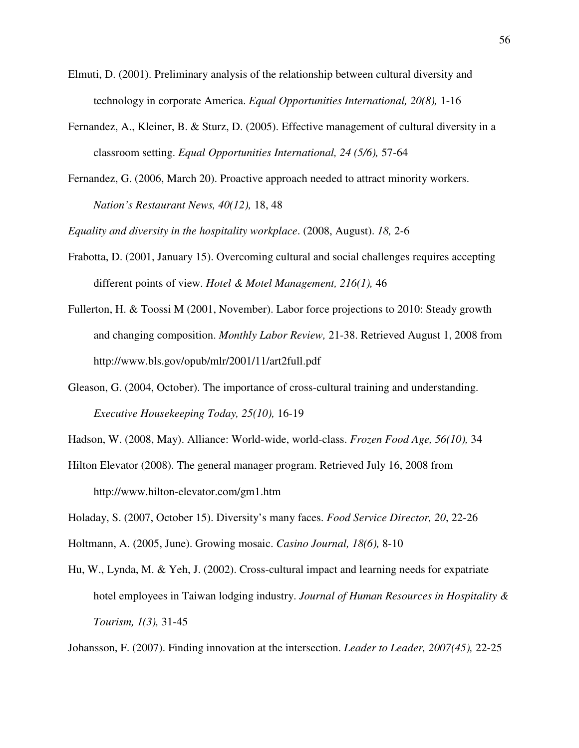- Elmuti, D. (2001). Preliminary analysis of the relationship between cultural diversity and technology in corporate America. *Equal Opportunities International, 20(8),* 1-16
- Fernandez, A., Kleiner, B. & Sturz, D. (2005). Effective management of cultural diversity in a classroom setting. *Equal Opportunities International, 24 (5/6),* 57-64
- Fernandez, G. (2006, March 20). Proactive approach needed to attract minority workers. *Nation's Restaurant News, 40(12),* 18, 48

*Equality and diversity in the hospitality workplace*. (2008, August). *18,* 2-6

- Frabotta, D. (2001, January 15). Overcoming cultural and social challenges requires accepting different points of view. *Hotel & Motel Management, 216(1),* 46
- Fullerton, H. & Toossi M (2001, November). Labor force projections to 2010: Steady growth and changing composition. *Monthly Labor Review,* 21-38. Retrieved August 1, 2008 from http://www.bls.gov/opub/mlr/2001/11/art2full.pdf
- Gleason, G. (2004, October). The importance of cross-cultural training and understanding. *Executive Housekeeping Today, 25(10),* 16-19
- Hadson, W. (2008, May). Alliance: World-wide, world-class. *Frozen Food Age, 56(10),* 34
- Hilton Elevator (2008). The general manager program. Retrieved July 16, 2008 from http://www.hilton-elevator.com/gm1.htm

Holaday, S. (2007, October 15). Diversity's many faces. *Food Service Director, 20*, 22-26

Holtmann, A. (2005, June). Growing mosaic. *Casino Journal, 18(6),* 8-10

Hu, W., Lynda, M. & Yeh, J. (2002). Cross-cultural impact and learning needs for expatriate hotel employees in Taiwan lodging industry. *Journal of Human Resources in Hospitality & Tourism, 1(3),* 31-45

Johansson, F. (2007). Finding innovation at the intersection. *Leader to Leader, 2007(45),* 22-25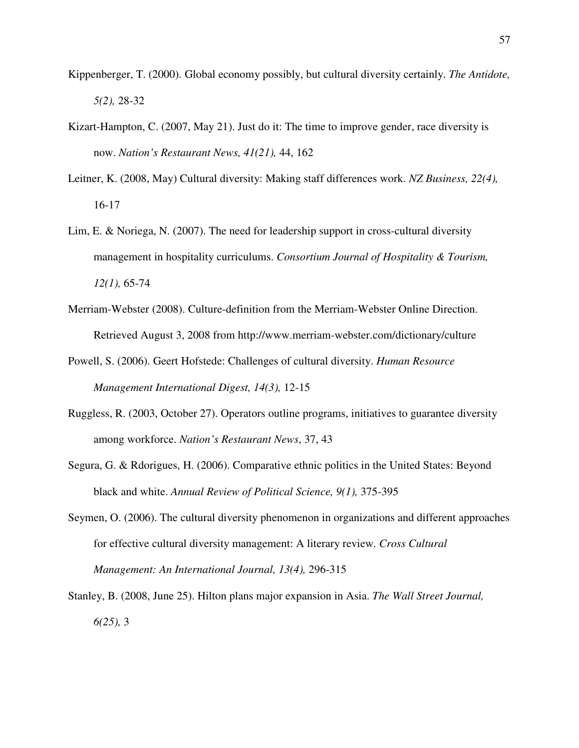- Kippenberger, T. (2000). Global economy possibly, but cultural diversity certainly. *The Antidote, 5(2),* 28-32
- Kizart-Hampton, C. (2007, May 21). Just do it: The time to improve gender, race diversity is now. *Nation's Restaurant News, 41(21),* 44, 162
- Leitner, K. (2008, May) Cultural diversity: Making staff differences work. *NZ Business, 22(4),* 16-17
- Lim, E. & Noriega, N. (2007). The need for leadership support in cross-cultural diversity management in hospitality curriculums. *Consortium Journal of Hospitality & Tourism, 12(1),* 65-74
- Merriam-Webster (2008). Culture-definition from the Merriam-Webster Online Direction. Retrieved August 3, 2008 from http://www.merriam-webster.com/dictionary/culture
- Powell, S. (2006). Geert Hofstede: Challenges of cultural diversity. *Human Resource Management International Digest, 14(3),* 12-15
- Ruggless, R. (2003, October 27). Operators outline programs, initiatives to guarantee diversity among workforce. *Nation's Restaurant News*, 37, 43
- Segura, G. & Rdorigues, H. (2006). Comparative ethnic politics in the United States: Beyond black and white. *Annual Review of Political Science, 9(1),* 375-395
- Seymen, O. (2006). The cultural diversity phenomenon in organizations and different approaches for effective cultural diversity management: A literary review. *Cross Cultural Management: An International Journal, 13(4),* 296-315
- Stanley, B. (2008, June 25). Hilton plans major expansion in Asia. *The Wall Street Journal, 6(25),* 3